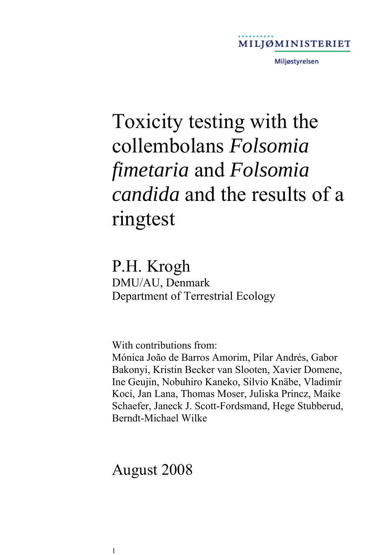

Miljøstyrelsen

# Toxicity testing with the collembolans *Folsomia fimetaria* and *Folsomia candida* and the results of a ringtest

### P.H. Krogh

DMU/AU, Denmark Department of Terrestrial Ecology

With contributions from:

Mónica João de Barros Amorim, Pilar Andrés, Gabor Bakonyi, Kristin Becker van Slooten, Xavier Domene, Ine Geujin, Nobuhiro Kaneko, Silvio Knäbe, Vladimír Kocí, Jan Lana, Thomas Moser, Juliska Princz, Maike Schaefer, Janeck J. Scott-Fordsmand, Hege Stubberud, Berndt-Michael Wilke

### August 2008

1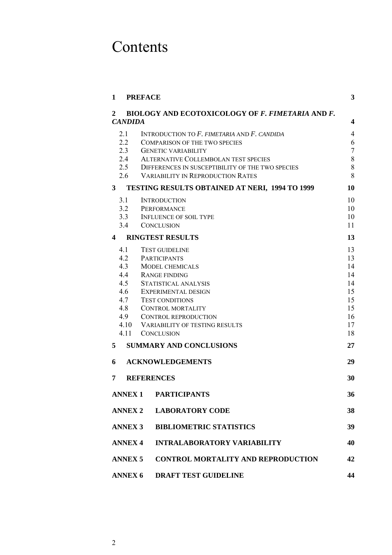# Contents

| 1                              | <b>PREFACE</b>                                          | 3                       |  |  |
|--------------------------------|---------------------------------------------------------|-------------------------|--|--|
| $\mathbf{2}$<br><b>CANDIDA</b> | <b>BIOLOGY AND ECOTOXICOLOGY OF F. FIMETARIA AND F.</b> | $\overline{\mathbf{4}}$ |  |  |
| 2.1                            | INTRODUCTION TO $F$ . FIMETARIA AND $F$ . CANDIDA       | $\overline{4}$          |  |  |
| 2.2                            | <b>COMPARISON OF THE TWO SPECIES</b>                    | 6                       |  |  |
| 2.3                            | <b>GENETIC VARIABILITY</b>                              | $\tau$                  |  |  |
| 2.4                            | ALTERNATIVE COLLEMBOLAN TEST SPECIES                    | $8\,$                   |  |  |
| 2.5                            | DIFFERENCES IN SUSCEPTIBILITY OF THE TWO SPECIES        | $\,$ $\,$               |  |  |
| 2.6                            | <b>VARIABILITY IN REPRODUCTION RATES</b>                | 8                       |  |  |
| 3                              | <b>TESTING RESULTS OBTAINED AT NERI, 1994 TO 1999</b>   | 10                      |  |  |
| 3.1                            | <b>INTRODUCTION</b>                                     | 10                      |  |  |
| 3.2                            | PERFORMANCE                                             | 10                      |  |  |
| 3.3                            | <b>INFLUENCE OF SOIL TYPE</b>                           | 10                      |  |  |
| 3.4                            | <b>CONCLUSION</b>                                       | 11                      |  |  |
| 4                              | <b>RINGTEST RESULTS</b>                                 | 13                      |  |  |
| 4.1                            | <b>TEST GUIDELINE</b>                                   | 13                      |  |  |
| 4.2                            | <b>PARTICIPANTS</b>                                     | 13                      |  |  |
| 4.3                            | <b>MODEL CHEMICALS</b>                                  | 14                      |  |  |
| 4.4                            | <b>RANGE FINDING</b>                                    | 14                      |  |  |
| 4.5                            | STATISTICAL ANALYSIS                                    | 14                      |  |  |
| 4.6                            | <b>EXPERIMENTAL DESIGN</b>                              | 15                      |  |  |
| 4.7                            | <b>TEST CONDITIONS</b>                                  | 15                      |  |  |
| 4.8                            | <b>CONTROL MORTALITY</b>                                | 15                      |  |  |
| 4.9                            | <b>CONTROL REPRODUCTION</b>                             | 16                      |  |  |
| 4.10                           | <b>VARIABILITY OF TESTING RESULTS</b>                   | 17                      |  |  |
| 4.11                           | <b>CONCLUSION</b>                                       | 18                      |  |  |
| 5                              | <b>SUMMARY AND CONCLUSIONS</b>                          | 27                      |  |  |
| 6                              | <b>ACKNOWLEDGEMENTS</b>                                 | 29                      |  |  |
| 7                              | <b>REFERENCES</b>                                       | 30                      |  |  |
| <b>ANNEX1</b>                  | <b>PARTICIPANTS</b>                                     | 36                      |  |  |
| <b>ANNEX 2</b>                 | <b>LABORATORY CODE</b>                                  | 38                      |  |  |
| <b>ANNEX 3</b>                 | <b>BIBLIOMETRIC STATISTICS</b>                          | 39                      |  |  |
| <b>ANNEX 4</b>                 | <b>INTRALABORATORY VARIABILITY</b>                      | 40                      |  |  |
| <b>ANNEX 5</b>                 | <b>CONTROL MORTALITY AND REPRODUCTION</b>               | 42                      |  |  |
| <b>ANNEX 6</b>                 | <b>DRAFT TEST GUIDELINE</b>                             | 44                      |  |  |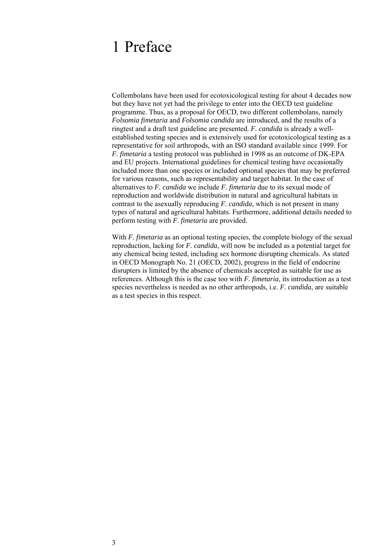### 1 Preface

Collembolans have been used for ecotoxicological testing for about 4 decades now but they have not yet had the privilege to enter into the OECD test guideline programme. Thus, as a proposal for OECD, two different collembolans, namely *Folsomia fimetaria* and *Folsomia candida* are introduced, and the results of a ringtest and a draft test guideline are presented. *F. candida* is already a wellestablished testing species and is extensively used for ecotoxicological testing as a representative for soil arthropods, with an ISO standard available since 1999. For *F. fimetaria* a testing protocol was published in 1998 as an outcome of DK-EPA and EU projects. International guidelines for chemical testing have occasionally included more than one species or included optional species that may be preferred for various reasons, such as representability and target habitat. In the case of alternatives to *F. candida* we include *F. fimetaria* due to its sexual mode of reproduction and worldwide distribution in natural and agricultural habitats in contrast to the asexually reproducing *F. candida*, which is not present in many types of natural and agricultural habitats. Furthermore, additional details needed to perform testing with *F. fimetaria* are provided.

With *F. fimetaria* as an optional testing species, the complete biology of the sexual reproduction, lacking for *F. candida*, will now be included as a potential target for any chemical being tested, including sex hormone disrupting chemicals. As stated in OECD Monograph No. 21 (OECD, 2002), progress in the field of endocrine disrupters is limited by the absence of chemicals accepted as suitable for use as references. Although this is the case too with *F. fimetaria*, its introduction as a test species nevertheless is needed as no other arthropods, i.e. *F. candida*, are suitable as a test species in this respect.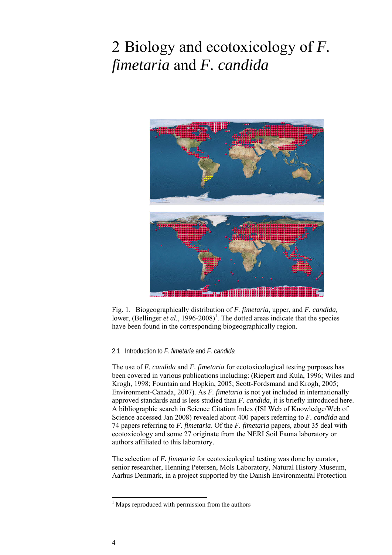## 2 Biology and ecotoxicology of *F. fimetaria* and *F. candida*



Fig. 1. Biogeographically distribution of *F. fimetaria*, upper, and *F. candida,*  lower, (Bellinger *et al.*, 1996-2008)<sup>1</sup>. The dotted areas indicate that the species have been found in the corresponding biogeographically region.

#### 2.1 Introduction to *F. fimetaria* and *F. candida*

The use of *F. candida* and *F. fimetaria* for ecotoxicological testing purposes has been covered in various publications including: (Riepert and Kula, 1996; Wiles and Krogh, 1998; Fountain and Hopkin, 2005; Scott-Fordsmand and Krogh, 2005; Environment-Canada, 2007). As *F. fimetaria* is not yet included in internationally approved standards and is less studied than *F. candida*, it is briefly introduced here. A bibliographic search in Science Citation Index (ISI Web of Knowledge/Web of Science accessed Jan 2008) revealed about 400 papers referring to *F. candida* and 74 papers referring to *F. fimetaria*. Of the *F. fimetaria* papers, about 35 deal with ecotoxicology and some 27 originate from the NERI Soil Fauna laboratory or authors affiliated to this laboratory.

The selection of *F. fimetaria* for ecotoxicological testing was done by curator, senior researcher, Henning Petersen, Mols Laboratory, Natural History Museum, Aarhus Denmark, in a project supported by the Danish Environmental Protection

 1 Maps reproduced with permission from the authors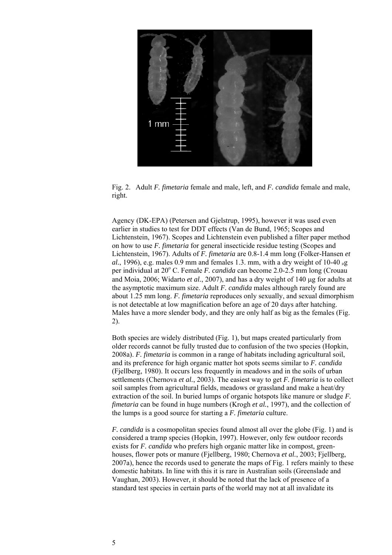

Fig. 2. Adult *F. fimetaria* female and male, left, and *F. candida* female and male, right.

Agency (DK-EPA) (Petersen and Gjelstrup, 1995), however it was used even earlier in studies to test for DDT effects (Van de Bund, 1965; Scopes and Lichtenstein, 1967). Scopes and Lichtenstein even published a filter paper method on how to use *F. fimetaria* for general insecticide residue testing (Scopes and Lichtenstein, 1967). Adults of *F. fimetaria* are 0.8-1.4 mm long (Folker-Hansen *et al.*, 1996), e.g. males 0.9 mm and females 1.3. mm, with a dry weight of 10-40  $\mu$ g per individual at 20° C. Female *F. candida* can become 2.0-2.5 mm long (Crouau and Moia, 2006; Widarto *et al.*, 2007), and has a dry weight of 140 μg for adults at the asymptotic maximum size. Adult *F. candida* males although rarely found are about 1.25 mm long. *F. fimetaria* reproduces only sexually, and sexual dimorphism is not detectable at low magnification before an age of 20 days after hatching. Males have a more slender body, and they are only half as big as the females (Fig. 2).

Both species are widely distributed (Fig. 1), but maps created particularly from older records cannot be fully trusted due to confusion of the two species (Hopkin, 2008a). *F. fimetaria* is common in a range of habitats including agricultural soil, and its preference for high organic matter hot spots seems similar to *F. candida*  (Fjellberg, 1980). It occurs less frequently in meadows and in the soils of urban settlements (Chernova *et al.*, 2003). The easiest way to get *F. fimetaria* is to collect soil samples from agricultural fields, meadows or grassland and make a heat/dry extraction of the soil. In buried lumps of organic hotspots like manure or sludge *F. fimetaria* can be found in huge numbers (Krogh *et al.*, 1997), and the collection of the lumps is a good source for starting a *F. fimetaria* culture.

*F. candida* is a cosmopolitan species found almost all over the globe (Fig. 1) and is considered a tramp species (Hopkin, 1997). However, only few outdoor records exists for *F. candida* who prefers high organic matter like in compost, greenhouses, flower pots or manure (Fjellberg, 1980; Chernova *et al.*, 2003; Fjellberg, 2007a), hence the records used to generate the maps of Fig. 1 refers mainly to these domestic habitats. In line with this it is rare in Australian soils (Greenslade and Vaughan, 2003). However, it should be noted that the lack of presence of a standard test species in certain parts of the world may not at all invalidate its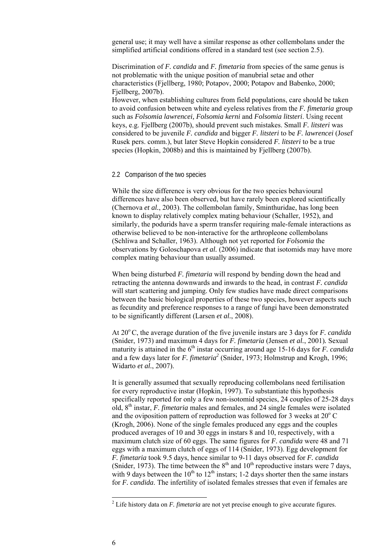general use; it may well have a similar response as other collembolans under the simplified artificial conditions offered in a standard test (see section 2.5).

Discrimination of *F. candida* and *F. fimetaria* from species of the same genus is not problematic with the unique position of manubrial setae and other characteristics (Fjellberg, 1980; Potapov, 2000; Potapov and Babenko, 2000; Fiellberg, 2007b).

However, when establishing cultures from field populations, care should be taken to avoid confusion between white and eyeless relatives from the *F. fimetaria* group such as *Folsomia lawrencei, Folsomia kerni* and *Folsomia litsteri*. Using recent keys, e.g. Fjellberg (2007b), should prevent such mistakes. Small *F. litsteri* was considered to be juvenile *F. candida* and bigger *F. litsteri* to be *F. lawrencei* (Josef Rusek pers. comm.), but later Steve Hopkin considered *F. litsteri* to be a true species (Hopkin, 2008b) and this is maintained by Fjellberg (2007b).

#### 2.2 Comparison of the two species

While the size difference is very obvious for the two species behavioural differences have also been observed, but have rarely been explored scientifically (Chernova *et al.*, 2003). The collembolan family, Sminthuridae, has long been known to display relatively complex mating behaviour (Schaller, 1952), and similarly, the podurids have a sperm transfer requiring male-female interactions as otherwise believed to be non-interactive for the arthropleone collembolans (Schliwa and Schaller, 1963). Although not yet reported for *Folsomia* the observations by Goloschapova *et al.* (2006) indicate that isotomids may have more complex mating behaviour than usually assumed.

When being disturbed *F. fimetaria* will respond by bending down the head and retracting the antenna downwards and inwards to the head, in contrast *F. candida* will start scattering and jumping. Only few studies have made direct comparisons between the basic biological properties of these two species, however aspects such as fecundity and preference responses to a range of fungi have been demonstrated to be significantly different (Larsen *et al.*, 2008).

At 20<sup>o</sup> C, the average duration of the five juvenile instars are 3 days for *F. candida* (Snider, 1973) and maximum 4 days for *F. fimetaria* (Jensen *et al.*, 2001)*.* Sexual maturity is attained in the  $6<sup>th</sup>$  instar occurring around age 15-16 days for *F. candida* and a few days later for *F. fimetaria<sup>2</sup>* (Snider, 1973; Holmstrup and Krogh, 1996; Widarto *et al.*, 2007).

It is generally assumed that sexually reproducing collembolans need fertilisation for every reproductive instar (Hopkin, 1997). To substantiate this hypothesis specifically reported for only a few non-isotomid species, 24 couples of 25-28 days old, 8th instar, *F. fimetaria* males and females, and 24 single females were isolated and the oviposition pattern of reproduction was followed for 3 weeks at  $20^{\circ}$  C (Krogh, 2006). None of the single females produced any eggs and the couples produced averages of 10 and 30 eggs in instars 8 and 10, respectively, with a maximum clutch size of 60 eggs. The same figures for *F. candida* were 48 and 71 eggs with a maximum clutch of eggs of 114 (Snider, 1973). Egg development for *F. fimetaria* took 9.5 days, hence similar to 9-11 days observed for *F. candida*  (Snider, 1973). The time between the  $8<sup>th</sup>$  and  $10<sup>th</sup>$  reproductive instars were 7 days, with 9 days between the  $10^{th}$  to  $12^{th}$  instars; 1-2 days shorter then the same instars for *F. candida*. The infertility of isolated females stresses that even if females are

 2 Life history data on *F. fimetaria* are not yet precise enough to give accurate figures.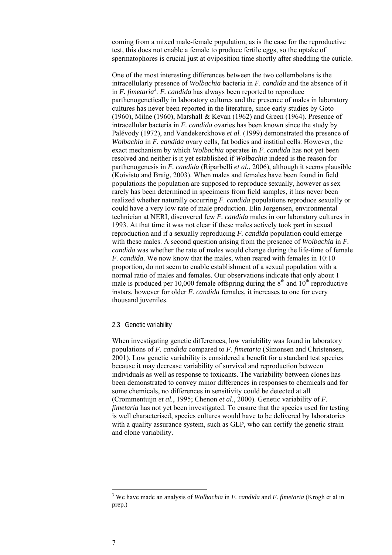coming from a mixed male-female population, as is the case for the reproductive test, this does not enable a female to produce fertile eggs, so the uptake of spermatophores is crucial just at oviposition time shortly after shedding the cuticle.

One of the most interesting differences between the two collembolans is the intracellularly presence of *Wolbachia* bacteria in *F. candida* and the absence of it in *F. fimetaria*<sup>3</sup>. *F. candida* has always been reported to reproduce parthenogenetically in laboratory cultures and the presence of males in laboratory cultures has never been reported in the literature, since early studies by Goto (1960), Milne (1960), Marshall & Kevan (1962) and Green (1964). Presence of intracellular bacteria in *F. candida* ovaries has been known since the study by Palévody (1972), and Vandekerckhove *et al.* (1999) demonstrated the presence of *Wolbachia* in *F. candida* ovary cells, fat bodies and institial cells. However, the exact mechanism by which *Wolbachia* operates in *F. candida* has not yet been resolved and neither is it yet established if *Wolbachia* indeed is the reason for parthenogenesis in *F. candida* (Riparbelli *et al.*, 2006), although it seems plausible (Koivisto and Braig, 2003). When males and females have been found in field populations the population are supposed to reproduce sexually, however as sex rarely has been determined in specimens from field samples, it has never been realized whether naturally occurring *F. candida* populations reproduce sexually or could have a very low rate of male production. Elin Jørgensen, environmental technician at NERI, discovered few *F. candida* males in our laboratory cultures in 1993. At that time it was not clear if these males actively took part in sexual reproduction and if a sexually reproducing *F. candida* population could emerge with these males. A second question arising from the presence of *Wolbachia* in *F. candida* was whether the rate of males would change during the life-time of female *F. candida*. We now know that the males, when reared with females in 10:10 proportion, do not seem to enable establishment of a sexual population with a normal ratio of males and females. Our observations indicate that only about 1 male is produced per 10,000 female offspring during the  $8<sup>th</sup>$  and  $10<sup>th</sup>$  reproductive instars, however for older *F. candida* females, it increases to one for every thousand juveniles.

#### 2.3 Genetic variability

When investigating genetic differences, low variability was found in laboratory populations of *F. candida* compared to *F. fimetaria* (Simonsen and Christensen, 2001). Low genetic variability is considered a benefit for a standard test species because it may decrease variability of survival and reproduction between individuals as well as response to toxicants. The variability between clones has been demonstrated to convey minor differences in responses to chemicals and for some chemicals, no differences in sensitivity could be detected at all (Crommentuijn *et al.*, 1995; Chenon *et al.*, 2000). Genetic variability of *F. fimetaria* has not yet been investigated. To ensure that the species used for testing is well characterised, species cultures would have to be delivered by laboratories with a quality assurance system, such as GLP, who can certify the genetic strain and clone variability.

l

<sup>3</sup> We have made an analysis of *Wolbachia* in *F. candida* and *F. fimetaria* (Krogh et al in prep.)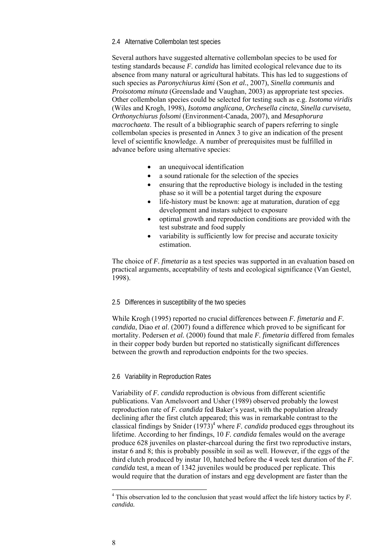#### 2.4 Alternative Collembolan test species

Several authors have suggested alternative collembolan species to be used for testing standards because *F. candida* has limited ecological relevance due to its absence from many natural or agricultural habitats. This has led to suggestions of such species as *Paronychiurus kimi* (Son *et al.*, 2007), *Sinella communis* and *Proisotoma minuta* (Greenslade and Vaughan, 2003) as appropriate test species. Other collembolan species could be selected for testing such as e.g. *Isotoma viridis* (Wiles and Krogh, 1998), *Isotoma anglicana*, *Orchesella cincta*, *Sinella curviseta*, *Orthonychiurus folsomi* (Environment-Canada, 2007), and *Mesaphorura macrochaeta*. The result of a bibliographic search of papers referring to single collembolan species is presented in Annex 3 to give an indication of the present level of scientific knowledge. A number of prerequisites must be fulfilled in advance before using alternative species:

- an unequivocal identification
- a sound rationale for the selection of the species
- ensuring that the reproductive biology is included in the testing phase so it will be a potential target during the exposure
- life-history must be known: age at maturation, duration of egg development and instars subject to exposure
- optimal growth and reproduction conditions are provided with the test substrate and food supply
- variability is sufficiently low for precise and accurate toxicity estimation.

The choice of *F. fimetaria* as a test species was supported in an evaluation based on practical arguments, acceptability of tests and ecological significance (Van Gestel, 1998).

#### 2.5 Differences in susceptibility of the two species

While Krogh (1995) reported no crucial differences between *F. fimetaria* and *F. candida*, Diao *et al*. (2007) found a difference which proved to be significant for mortality. Pedersen *et al.* (2000) found that male *F. fimetaria* differed from females in their copper body burden but reported no statistically significant differences between the growth and reproduction endpoints for the two species.

#### 2.6 Variability in Reproduction Rates

Variability of *F. candida* reproduction is obvious from different scientific publications. Van Amelsvoort and Usher (1989) observed probably the lowest reproduction rate of *F. candida* fed Baker's yeast, with the population already declining after the first clutch appeared; this was in remarkable contrast to the classical findings by Snider  $(1973)^4$  where *F. candida* produced eggs throughout its lifetime. According to her findings, 10 *F. candida* females would on the average produce 628 juveniles on plaster-charcoal during the first two reproductive instars, instar 6 and 8; this is probably possible in soil as well. However, if the eggs of the third clutch produced by instar 10, hatched before the 4 week test duration of the *F. candida* test, a mean of 1342 juveniles would be produced per replicate. This would require that the duration of instars and egg development are faster than the

l

 $<sup>4</sup>$  This observation led to the conclusion that yeast would affect the life history tactics by *F*.</sup> *candida.*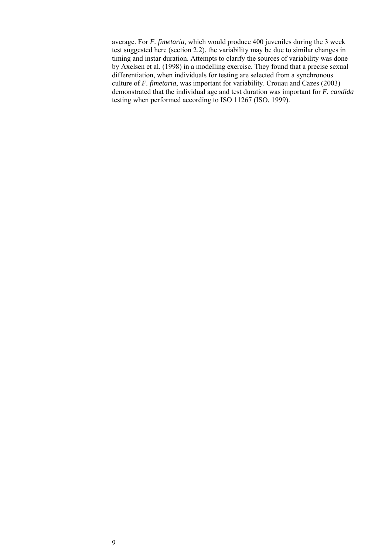average. For *F. fimetaria*, which would produce 400 juveniles during the 3 week test suggested here (section 2.2), the variability may be due to similar changes in timing and instar duration. Attempts to clarify the sources of variability was done by Axelsen et al. (1998) in a modelling exercise. They found that a precise sexual differentiation, when individuals for testing are selected from a synchronous culture of *F. fimetaria*, was important for variability. Crouau and Cazes (2003) demonstrated that the individual age and test duration was important for *F. candida*  testing when performed according to ISO 11267 (ISO, 1999).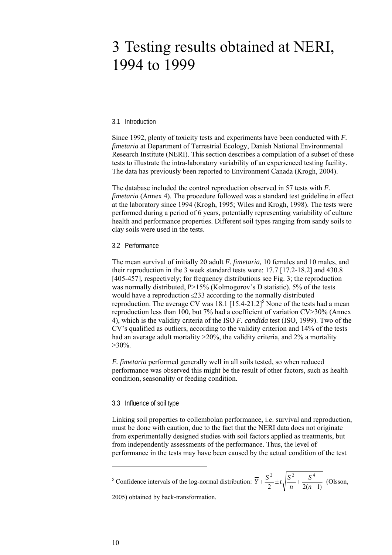### 3 Testing results obtained at NERI, 1994 to 1999

#### 3.1 Introduction

Since 1992, plenty of toxicity tests and experiments have been conducted with *F. fimetaria* at Department of Terrestrial Ecology, Danish National Environmental Research Institute (NERI). This section describes a compilation of a subset of these tests to illustrate the intra-laboratory variability of an experienced testing facility. The data has previously been reported to Environment Canada (Krogh, 2004).

The database included the control reproduction observed in 57 tests with *F. fimetaria* (Annex 4). The procedure followed was a standard test guideline in effect at the laboratory since 1994 (Krogh, 1995; Wiles and Krogh, 1998). The tests were performed during a period of 6 years, potentially representing variability of culture health and performance properties. Different soil types ranging from sandy soils to clay soils were used in the tests.

#### 3.2 Performance

The mean survival of initially 20 adult *F. fimetaria,* 10 females and 10 males, and their reproduction in the 3 week standard tests were: 17.7 [17.2-18.2] and 430.8 [405-457], respectively; for frequency distributions see Fig. 3; the reproduction was normally distributed, P>15% (Kolmogorov's D statistic). 5% of the tests would have a reproduction ≤233 according to the normally distributed reproduction. The average CV was  $18.1$   $[15.4-21.2]$ <sup>5</sup> None of the tests had a mean reproduction less than 100, but 7% had a coefficient of variation CV>30% (Annex 4), which is the validity criteria of the ISO *F. candida* test (ISO, 1999). Two of the CV's qualified as outliers, according to the validity criterion and 14% of the tests had an average adult mortality >20%, the validity criteria, and 2% a mortality  $>30\%$ .

*F. fimetaria* performed generally well in all soils tested, so when reduced performance was observed this might be the result of other factors, such as health condition, seasonality or feeding condition.

#### 3.3 Influence of soil type

Linking soil properties to collembolan performance, i.e. survival and reproduction, must be done with caution, due to the fact that the NERI data does not originate from experimentally designed studies with soil factors applied as treatments, but from independently assessments of the performance. Thus, the level of performance in the tests may have been caused by the actual condition of the test

<sup>5</sup> Confidence intervals of the log-normal distribution:  $\overline{Y} + \frac{S}{2} \pm t \sqrt{\frac{S}{n}} + \frac{S}{2(n-1)}$ 2  $\sqrt{c^2}$   $\sqrt{4}$  $+\frac{S^2}{2} \pm t \sqrt{\frac{S^2}{n} + \frac{S^4}{2(n-1)}}$ *n*  $\overline{Y} + \frac{S^2}{2} \pm t_1 \frac{S^2}{2} + \frac{S^4}{2(1-\lambda)}$  (Olsson,

2005) obtained by back-transformation.

l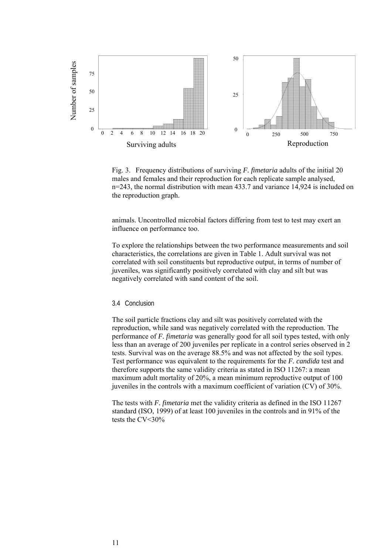

Fig. 3. Frequency distributions of surviving *F. fimetaria* adults of the initial 20 males and females and their reproduction for each replicate sample analysed, n=243, the normal distribution with mean 433.7 and variance 14,924 is included on the reproduction graph.

animals. Uncontrolled microbial factors differing from test to test may exert an influence on performance too.

To explore the relationships between the two performance measurements and soil characteristics, the correlations are given in Table 1. Adult survival was not correlated with soil constituents but reproductive output, in terms of number of juveniles, was significantly positively correlated with clay and silt but was negatively correlated with sand content of the soil.

#### 3.4 Conclusion

The soil particle fractions clay and silt was positively correlated with the reproduction, while sand was negatively correlated with the reproduction. The performance of *F. fimetaria* was generally good for all soil types tested, with only less than an average of 200 juveniles per replicate in a control series observed in 2 tests. Survival was on the average 88.5% and was not affected by the soil types. Test performance was equivalent to the requirements for the *F. candida* test and therefore supports the same validity criteria as stated in ISO 11267: a mean maximum adult mortality of 20%, a mean minimum reproductive output of 100 juveniles in the controls with a maximum coefficient of variation (CV) of 30%.

The tests with *F. fimetaria* met the validity criteria as defined in the ISO 11267 standard (ISO, 1999) of at least 100 juveniles in the controls and in 91% of the tests the CV<30%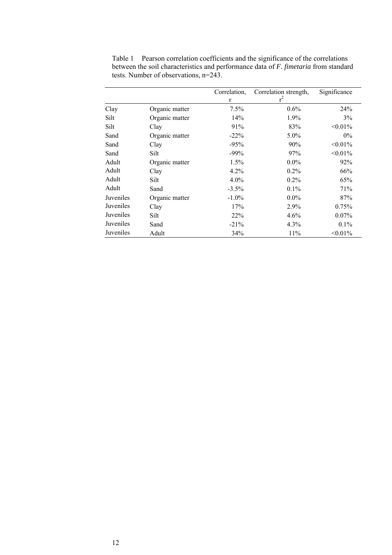|           |                | Correlation, | Correlation strength, | Significance |
|-----------|----------------|--------------|-----------------------|--------------|
|           |                | $\mathbf{r}$ | $r^2$                 |              |
| Clay      | Organic matter | 7.5%         | $0.6\%$               | 24%          |
| Silt      | Organic matter | 14%          | $1.9\%$               | 3%           |
| Silt      | Clay           | 91%          | 83%                   | $< 0.01\%$   |
| Sand      | Organic matter | $-22\%$      | $5.0\%$               | $0\%$        |
| Sand      | Clay           | $-95%$       | 90%                   | $< 0.01\%$   |
| Sand      | Silt           | $-99%$       | 97%                   | $< 0.01\%$   |
| Adult     | Organic matter | 1.5%         | $0.0\%$               | 92%          |
| Adult     | Clay           | 4.2%         | $0.2\%$               | 66%          |
| Adult     | Silt           | $4.0\%$      | $0.2\%$               | 65%          |
| Adult     | Sand           | $-3.5\%$     | $0.1\%$               | 71%          |
| Juveniles | Organic matter | $-1.0\%$     | $0.0\%$               | 87%          |
| Juveniles | Clay           | 17%          | 2.9%                  | 0.75%        |
| Juveniles | Silt           | 22%          | 4.6%                  | $0.07\%$     |
| Juveniles | Sand           | $-21\%$      | $4.3\%$               | $0.1\%$      |
| Juveniles | Adult          | 34%          | 11%                   | $< 0.01\%$   |

Table 1 Pearson correlation coefficients and the significance of the correlations between the soil characteristics and performance data of *F. fimetaria* from standard tests. Number of observations, n=243.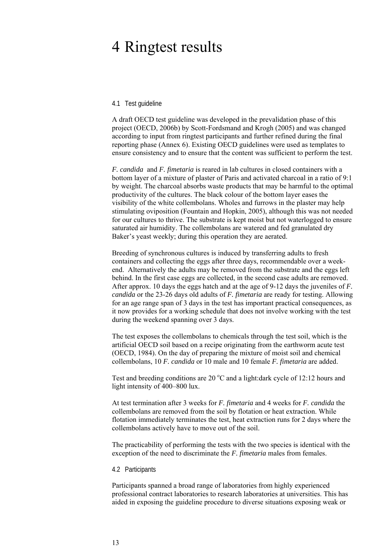### 4 Ringtest results

#### 4.1 Test guideline

A draft OECD test guideline was developed in the prevalidation phase of this project (OECD, 2006b) by Scott-Fordsmand and Krogh (2005) and was changed according to input from ringtest participants and further refined during the final reporting phase (Annex 6). Existing OECD guidelines were used as templates to ensure consistency and to ensure that the content was sufficient to perform the test.

*F. candida* and *F. fimetaria* is reared in lab cultures in closed containers with a bottom layer of a mixture of plaster of Paris and activated charcoal in a ratio of 9:1 by weight. The charcoal absorbs waste products that may be harmful to the optimal productivity of the cultures. The black colour of the bottom layer eases the visibility of the white collembolans. Wholes and furrows in the plaster may help stimulating oviposition (Fountain and Hopkin, 2005), although this was not needed for our cultures to thrive. The substrate is kept moist but not waterlogged to ensure saturated air humidity. The collembolans are watered and fed granulated dry Baker's yeast weekly; during this operation they are aerated.

Breeding of synchronous cultures is induced by transferring adults to fresh containers and collecting the eggs after three days, recommendable over a weekend. Alternatively the adults may be removed from the substrate and the eggs left behind. In the first case eggs are collected, in the second case adults are removed. After approx. 10 days the eggs hatch and at the age of 9-12 days the juveniles of *F. candida* or the 23-26 days old adults of *F. fimetaria* are ready for testing. Allowing for an age range span of 3 days in the test has important practical consequences, as it now provides for a working schedule that does not involve working with the test during the weekend spanning over 3 days.

The test exposes the collembolans to chemicals through the test soil, which is the artificial OECD soil based on a recipe originating from the earthworm acute test (OECD, 1984). On the day of preparing the mixture of moist soil and chemical collembolans, 10 *F. candida* or 10 male and 10 female *F. fimetaria* are added.

Test and breeding conditions are  $20^{\circ}$ C and a light:dark cycle of 12:12 hours and light intensity of 400–800 lux.

At test termination after 3 weeks for *F. fimetaria* and 4 weeks for *F. candida* the collembolans are removed from the soil by flotation or heat extraction. While flotation immediately terminates the test, heat extraction runs for 2 days where the collembolans actively have to move out of the soil.

The practicability of performing the tests with the two species is identical with the exception of the need to discriminate the *F. fimetaria* males from females.

#### 4.2 Participants

Participants spanned a broad range of laboratories from highly experienced professional contract laboratories to research laboratories at universities. This has aided in exposing the guideline procedure to diverse situations exposing weak or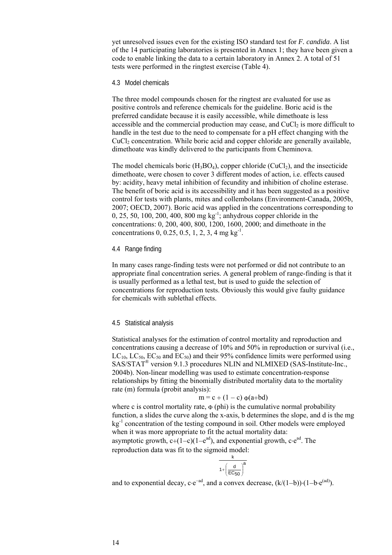yet unresolved issues even for the existing ISO standard test for *F. candida*. A list of the 14 participating laboratories is presented in Annex 1; they have been given a code to enable linking the data to a certain laboratory in Annex 2. A total of 51 tests were performed in the ringtest exercise (Table 4).

#### 4.3 Model chemicals

The three model compounds chosen for the ringtest are evaluated for use as positive controls and reference chemicals for the guideline. Boric acid is the preferred candidate because it is easily accessible, while dimethoate is less accessible and the commercial production may cease, and  $CuCl<sub>2</sub>$  is more difficult to handle in the test due to the need to compensate for a pH effect changing with the CuCl<sub>2</sub> concentration. While boric acid and copper chloride are generally available, dimethoate was kindly delivered to the participants from Cheminova.

The model chemicals boric  $(H_3BO_4)$ , copper chloride  $(CuCl_2)$ , and the insecticide dimethoate, were chosen to cover 3 different modes of action, i.e. effects caused by: acidity, heavy metal inhibition of fecundity and inhibition of choline esterase. The benefit of boric acid is its accessibility and it has been suggested as a positive control for tests with plants, mites and collembolans (Environment-Canada, 2005b, 2007; OECD, 2007). Boric acid was applied in the concentrations corresponding to 0, 25, 50, 100, 200, 400, 800 mg kg-1; anhydrous copper chloride in the concentrations: 0, 200, 400, 800, 1200, 1600, 2000; and dimethoate in the concentrations  $0, 0.25, 0.5, 1, 2, 3, 4$  mg kg<sup>-1</sup>.

#### 4.4 Range finding

In many cases range-finding tests were not performed or did not contribute to an appropriate final concentration series. A general problem of range-finding is that it is usually performed as a lethal test, but is used to guide the selection of concentrations for reproduction tests. Obviously this would give faulty guidance for chemicals with sublethal effects.

#### 4.5 Statistical analysis

Statistical analyses for the estimation of control mortality and reproduction and concentrations causing a decrease of 10% and 50% in reproduction or survival (i.e.,  $LC_{10}$ ,  $LC_{50}$ ,  $EC_{50}$  and  $EC_{50}$ ) and their 95% confidence limits were performed using SAS/STAT® version 9.1.3 procedures NLIN and NLMIXED (SAS-Institute-Inc., 2004b). Non-linear modelling was used to estimate concentration-response relationships by fitting the binomially distributed mortality data to the mortality rate (m) formula (probit analysis):

#### $m = c + (1 - c) \Phi(a + bd)$

where c is control mortality rate,  $\Phi$  (phi) is the cumulative normal probability function, a slides the curve along the x-axis, b determines the slope, and d is the mg kg-1 concentration of the testing compound in soil. Other models were employed when it was more appropriate to fit the actual mortality data:

asymptotic growth,  $c+(1-c)(1-e^{ad})$ , and exponential growth,  $c \cdot e^{ad}$ . The reproduction data was fit to the sigmoid model:

$$
\frac{k}{1+\left(\frac{d}{EC50}\right)^a}
$$

and to exponential decay, c⋅e<sup>-ad</sup>, and a convex decrease,  $(k/(1-b))·(1-b·e^{(ad)})$ .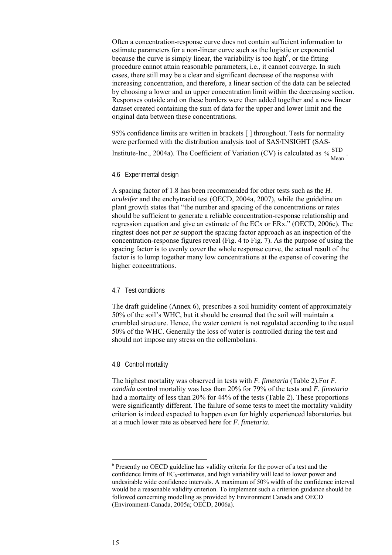Often a concentration-response curve does not contain sufficient information to estimate parameters for a non-linear curve such as the logistic or exponential because the curve is simply linear, the variability is too high<sup>6</sup>, or the fitting procedure cannot attain reasonable parameters, i.e., it cannot converge. In such cases, there still may be a clear and significant decrease of the response with increasing concentration, and therefore, a linear section of the data can be selected by choosing a lower and an upper concentration limit within the decreasing section. Responses outside and on these borders were then added together and a new linear dataset created containing the sum of data for the upper and lower limit and the original data between these concentrations.

95% confidence limits are written in brackets [ ] throughout. Tests for normality were performed with the distribution analysis tool of SAS/INSIGHT (SAS-Institute-Inc., 2004a). The Coefficient of Variation (CV) is calculated as  $\frac{\text{STD}}{\text{Mean}}$ .

#### 4.6 Experimental design

A spacing factor of 1.8 has been recommended for other tests such as the *H. aculeifer* and the enchytraeid test (OECD, 2004a, 2007), while the guideline on plant growth states that "the number and spacing of the concentrations or rates should be sufficient to generate a reliable concentration-response relationship and regression equation and give an estimate of the ECx or ERx." (OECD, 2006c). The ringtest does not *per se* support the spacing factor approach as an inspection of the concentration-response figures reveal (Fig. 4 to Fig. 7). As the purpose of using the spacing factor is to evenly cover the whole response curve, the actual result of the factor is to lump together many low concentrations at the expense of covering the higher concentrations.

#### 4.7 Test conditions

The draft guideline (Annex 6), prescribes a soil humidity content of approximately 50% of the soil's WHC, but it should be ensured that the soil will maintain a crumbled structure. Hence, the water content is not regulated according to the usual 50% of the WHC. Generally the loss of water is controlled during the test and should not impose any stress on the collembolans.

#### 4.8 Control mortality

The highest mortality was observed in tests with *F. fimetaria* (Table 2).For *F. candida* control mortality was less than 20% for 79% of the tests and *F. fimetaria*  had a mortality of less than 20% for 44% of the tests (Table 2). These proportions were significantly different. The failure of some tests to meet the mortality validity criterion is indeed expected to happen even for highly experienced laboratories but at a much lower rate as observed here for *F. fimetaria*.

l

<sup>&</sup>lt;sup>6</sup> Presently no OECD guideline has validity criteria for the power of a test and the confidence limits of  $EC<sub>X</sub>$ -estimates, and high variability will lead to lower power and undesirable wide confidence intervals. A maximum of 50% width of the confidence interval would be a reasonable validity criterion. To implement such a criterion guidance should be followed concerning modelling as provided by Environment Canada and OECD (Environment-Canada, 2005a; OECD, 2006a).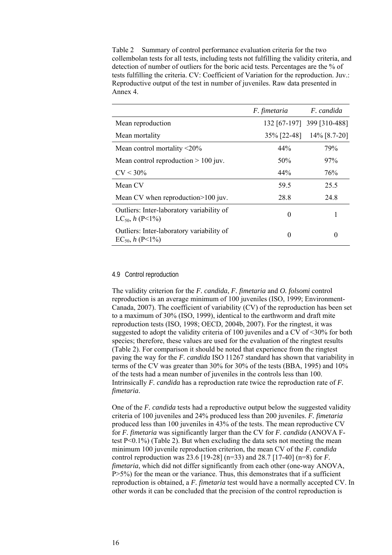Table 2 Summary of control performance evaluation criteria for the two collembolan tests for all tests, including tests not fulfilling the validity criteria, and detection of number of outliers for the boric acid tests. Percentages are the % of tests fulfilling the criteria. CV: Coefficient of Variation for the reproduction. Juv.: Reproductive output of the test in number of juveniles. Raw data presented in Annex 4.

|                                                                   | F. fimetaria | F. candida                 |
|-------------------------------------------------------------------|--------------|----------------------------|
| Mean reproduction                                                 |              | 132 [67-197] 399 [310-488] |
| Mean mortality                                                    |              | 35\% [22-48] 14\% [8.7-20] |
| Mean control mortality $\leq 20\%$                                | 44%          | 79%                        |
| Mean control reproduction $> 100$ juv.                            | 50%          | 97%                        |
| $CV < 30\%$                                                       | 44%          | 76%                        |
| Mean CV                                                           | 59.5         | 25.5                       |
| Mean CV when reproduction>100 juv.                                | 28.8         | 24.8                       |
| Outliers: Inter-laboratory variability of<br>$LC_{50}$ , h (P<1%) | $\Omega$     |                            |
| Outliers: Inter-laboratory variability of<br>$EC_{50}$ , h (P<1%) | $\theta$     | $\theta$                   |

#### 4.9 Control reproduction

The validity criterion for the *F. candida*, *F. fimetaria* and *O. folsomi* control reproduction is an average minimum of 100 juveniles (ISO, 1999; Environment-Canada, 2007). The coefficient of variability (CV) of the reproduction has been set to a maximum of 30% (ISO, 1999), identical to the earthworm and draft mite reproduction tests (ISO, 1998; OECD, 2004b, 2007). For the ringtest, it was suggested to adopt the validity criteria of 100 juveniles and a CV of  $\leq$ 30% for both species; therefore, these values are used for the evaluation of the ringtest results (Table 2). For comparison it should be noted that experience from the ringtest paving the way for the *F. candida* ISO 11267 standard has shown that variability in terms of the CV was greater than 30% for 30% of the tests (BBA, 1995) and 10% of the tests had a mean number of juveniles in the controls less than 100. Intrinsically *F. candida* has a reproduction rate twice the reproduction rate of *F. fimetaria*.

One of the *F. candida* tests had a reproductive output below the suggested validity criteria of 100 juveniles and 24% produced less than 200 juveniles. *F. fimetaria*  produced less than 100 juveniles in 43% of the tests. The mean reproductive CV for *F. fimetaria* was significantly larger than the CV for *F. candida* (ANOVA Ftest P<0.1%) (Table 2). But when excluding the data sets not meeting the mean minimum 100 juvenile reproduction criterion, the mean CV of the *F. candida*  control reproduction was 23.6 [19-28] (n=33) and 28.7 [17-40] (n=8) for *F. fimetaria*, which did not differ significantly from each other (one-way ANOVA, P>5%) for the mean or the variance. Thus, this demonstrates that if a sufficient reproduction is obtained, a *F. fimetaria* test would have a normally accepted CV. In other words it can be concluded that the precision of the control reproduction is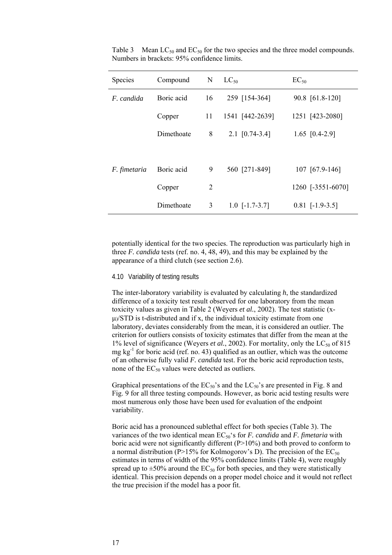| Species      | Compound   | N  | $LC_{50}$        | $EC_{50}$         |
|--------------|------------|----|------------------|-------------------|
| F. candida   | Boric acid | 16 | 259 [154-364]    | 90.8 [61.8-120]   |
|              | Copper     | 11 | 1541 [442-2639]  | 1251 [423-2080]   |
|              | Dimethoate | 8  | $2.1$ [0.74-3.4] | 1.65 $[0.4-2.9]$  |
|              |            |    |                  |                   |
| F. fimetaria | Boric acid | 9  | 560 [271-849]    | 107 [67.9-146]    |
|              | Copper     | 2  |                  | 1260 [-3551-6070] |
|              | Dimethoate | 3  | $1.0$ [-1.7-3.7] | $0.81$ [-1.9-3.5] |

Table 3 Mean  $LC_{50}$  and  $EC_{50}$  for the two species and the three model compounds. Numbers in brackets: 95% confidence limits.

potentially identical for the two species. The reproduction was particularly high in three *F. candida* tests (ref. no. 4, 48, 49), and this may be explained by the appearance of a third clutch (see section 2.6).

#### 4.10 Variability of testing results

The inter-laboratory variability is evaluated by calculating *h*, the standardized difference of a toxicity test result observed for one laboratory from the mean toxicity values as given in Table 2 (Weyers *et al.*, 2002). The test statistic (x- $\mu$ )/STD is t-distributed and if x, the individual toxicity estimate from one laboratory, deviates considerably from the mean, it is considered an outlier. The criterion for outliers consists of toxicity estimates that differ from the mean at the 1% level of significance (Weyers *et al.*, 2002). For mortality, only the LC<sub>50</sub> of 815 mg  $kg<sup>-1</sup>$  for boric acid (ref. no. 43) qualified as an outlier, which was the outcome of an otherwise fully valid *F. candida* test. For the boric acid reproduction tests, none of the  $EC_{50}$  values were detected as outliers.

Graphical presentations of the  $EC_{50}$ 's and the  $LC_{50}$ 's are presented in Fig. 8 and Fig. 9 for all three testing compounds. However, as boric acid testing results were most numerous only those have been used for evaluation of the endpoint variability.

Boric acid has a pronounced sublethal effect for both species (Table 3). The variances of the two identical mean EC<sub>50</sub>'s for *F. candida* and *F. fimetaria* with boric acid were not significantly different (P>10%) and both proved to conform to a normal distribution (P>15% for Kolmogorov's D). The precision of the  $EC_{50}$ estimates in terms of width of the 95% confidence limits (Table 4), were roughly spread up to  $\pm 50\%$  around the EC<sub>50</sub> for both species, and they were statistically identical. This precision depends on a proper model choice and it would not reflect the true precision if the model has a poor fit.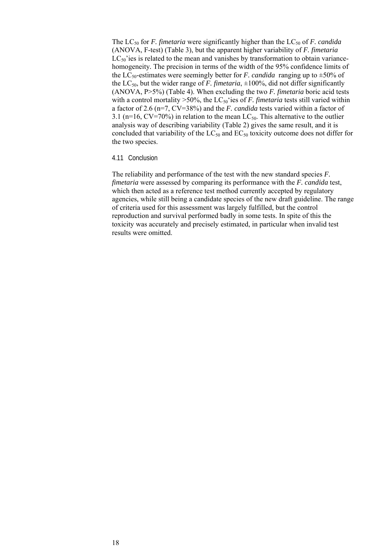The  $LC_{50}$  for *F. fimetaria* were significantly higher than the  $LC_{50}$  of *F. candida* (ANOVA, F-test) (Table 3), but the apparent higher variability of *F. fimetaria*   $LC_{50}$ 'ies is related to the mean and vanishes by transformation to obtain variancehomogeneity*.* The precision in terms of the width of the 95% confidence limits of the LC<sub>50</sub>-estimates were seemingly better for *F. candida* ranging up to  $\pm$ 50% of the  $LC_{50}$ , but the wider range of *F. fimetaria*,  $\pm 100\%$ , did not differ significantly (ANOVA, P>5%) (Table 4). When excluding the two *F. fimetaria* boric acid tests with a control mortality  $>50\%$ , the LC<sub>50</sub> ees of *F. fimetaria* tests still varied within a factor of 2.6 (n=7, CV=38%) and the *F. candida* tests varied within a factor of 3.1 (n=16, CV=70%) in relation to the mean  $LC_{50}$ . This alternative to the outlier analysis way of describing variability (Table 2) gives the same result, and it is concluded that variability of the  $LC_{50}$  and  $EC_{50}$  toxicity outcome does not differ for the two species.

#### 4.11 Conclusion

The reliability and performance of the test with the new standard species *F. fimetaria* were assessed by comparing its performance with the *F. candida* test, which then acted as a reference test method currently accepted by regulatory agencies, while still being a candidate species of the new draft guideline. The range of criteria used for this assessment was largely fulfilled, but the control reproduction and survival performed badly in some tests. In spite of this the toxicity was accurately and precisely estimated, in particular when invalid test results were omitted.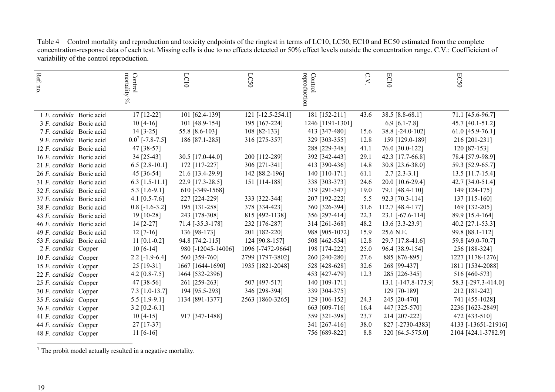| $\operatorname{Ref.}$    | Control $\begin{array}{c} \mbox{Control} \\ \mbox{mortality}\ \mathsf{v}_6 \end{array}$ | LC10               | LC50              | reproduction<br>Control | $\bigcirc$<br>$\gtrsim$ | EC10                | ECS0                |
|--------------------------|-----------------------------------------------------------------------------------------|--------------------|-------------------|-------------------------|-------------------------|---------------------|---------------------|
| no.                      |                                                                                         |                    |                   |                         |                         |                     |                     |
|                          |                                                                                         |                    |                   |                         |                         |                     |                     |
|                          |                                                                                         |                    |                   |                         |                         |                     |                     |
| 1 F. candida Boric acid  | 17 [12-22]                                                                              | 101 [62.4-139]     | 121 [-12.5-254.1] | 181 [152-211]           | 43.6                    | 38.5 [8.8-68.1]     | 71.1 [45.6-96.7]    |
| 3 F. candida Boric acid  | $10[4-16]$                                                                              | 101 [48.9-154]     | 195 [167-224]     | 1246 [1191-1301]        |                         | 6.9 $[6.1 - 7.8]$   | 45.7 [40.1-51.2]    |
| 7 F. candida Boric acid  | $14 [3-25]$                                                                             | 55.8 [8.6-103]     | 108 [82-133]      | 413 [347-480]           | 15.6                    | 38.8 [-24.0-102]    | 61.0 [45.9-76.1]    |
| 9 F. candida Boric acid  | $0.0^7$ [-7.8-7.5]                                                                      | 186 [87.1-285]     | 316 [275-357]     | 329 [303-355]           | 12.8                    | 159 [129.0-189]     | 216 [201-231]       |
| 12 F. candida Boric acid | 47 [38-57]                                                                              |                    |                   | 288 [229-348]           | 41.1                    | 76.0 [30.0-122]     | $120$ [87-153]      |
| 16 F. candida Boric acid | 34 [25-43]                                                                              | 30.5 [17.0-44.0]   | 200 [112-289]     | 392 [342-443]           | 29.1                    | 42.3 [17.7-66.8]    | 78.4 [57.9-98.9]    |
| 21 F. candida Boric acid | 6.5 $[2.8 - 10.1]$                                                                      | 172 [117-227]      | 306 [271-341]     | 413 [390-436]           | 14.8                    | 30.8 [23.6-38.0]    | 59.3 [52.9-65.7]    |
| 26 F. candida Boric acid | 45 [36-54]                                                                              | 21.6 [13.4-29.9]   | 142 [88.2-196]    | 140 [110-171]           | 61.1                    | $2.7$ [2.3-3.1]     | 13.5 [11.7-15.4]    |
| 31 F. candida Boric acid | 6.3 $[1.5-11.1]$                                                                        | 22.9 [17.3-28.5]   | 151 [114-188]     | 338 [303-373]           | 24.6                    | 20.0 [10.6-29.4]    | 42.7 [34.0-51.4]    |
| 32 F. candida Boric acid | 5.3 [1.6-9.1]                                                                           | 610 [-349-1568]    |                   | 319 [291-347]           | 19.0                    | 79.1 [48.4-110]     | 149 [124-175]       |
| 37 F. candida Boric acid | 4.1 $[0.5-7.6]$                                                                         | 227 [224-229]      | 333 [322-344]     | 207 [192-222]           | 5.5                     | 92.3 [70.3-114]     | 137 [115-160]       |
| 38 F. candida Boric acid | $0.8$ [-1.6-3.2]                                                                        | 195 [131-258]      | 378 [334-423]     | 360 [326-394]           | 31.6                    | 112.7 [48.4-177]    | 169 [132-205]       |
| 43 F. candida Boric acid | 19 [10-28]                                                                              | 243 [178-308]      | 815 [492-1138]    | 356 [297-414]           | 22.3                    | 23.1 [-67.6-114]    | 89.9 [15.4-164]     |
| 46 F. candida Boric acid | $14$ [2-27]                                                                             | 71.4 [-35.3-178]   | 232 [176-287]     | 314 [261-368]           | 48.2                    | 13.6 [3.3-23.9]     | 40.2 [27.1-53.3]    |
| 49 F. candida Boric acid | $12 [7-16]$                                                                             | 136 [98-173]       | 201 [182-220]     | 988 [905-1072]          | 15.9                    | 25.6 N.E.           | 99.8 [88.1-112]     |
| 53 F. candida Boric acid | $11$ [0.1-0.2]                                                                          | 94.8 [74.2-115]    | 124 [90.8-157]    | 508 [462-554]           | 12.8                    | 29.7 [17.8-41.6]    | 59.8 [49.0-70.7]    |
| 2 F. candida Copper      | $10[6-14]$                                                                              | 980 [-12045-14006] | 1096 [-7472-9664] | 198 [174-222]           | 25.0                    | 96.4 [38.9-154]     | 256 [188-324]       |
| 10 F. candida Copper     | $2.2$ [-1.9-6.4]                                                                        | 560 [359-760]      | 2799 [1797-3802]  | 260 [240-280]           | 27.6                    | 885 [876-895]       | 1227 [1178-1276]    |
| 15 F. candida Copper     | 25 [19-31]                                                                              | 1667 [1644-1690]   | 1935 [1821-2048]  | 528 [428-628]           | 32.6                    | 268 [99-437]        | 1811 [1534-2088]    |
| 22 F. candida Copper     | 4.2 $[0.8 - 7.5]$                                                                       | 1464 [532-2396]    |                   | 453 [427-479]           | 12.3                    | 285 [226-345]       | 516 [460-573]       |
| 25 F. candida Copper     | 47 [38-56]                                                                              | 261 [259-263]      | 507 [497-517]     | 140 [109-171]           |                         | 13.1 [-147.8-173.9] | 58.3 [-297.3-414.0] |
| 30 F. candida Copper     | 7.3 [1.0-13.7]                                                                          | 194 [95.5-293]     | 346 [298-394]     | 339 [304-375]           |                         | 129 [70-189]        | 212 [181-242]       |
| 35 F. candida Copper     | 5.5 $[1.9-9.1]$                                                                         | 1134 [891-1377]    | 2563 [1860-3265]  | 129 [106-152]           | 24.3                    | 245 [20-470]        | 741 [455-1028]      |
| 36 F. candida Copper     | $3.2$ [0.2-6.1]                                                                         |                    |                   | 663 [609-716]           | 16.4                    | 447 [325-570]       | 2236 [1623-2849]    |
| 41 F. candida Copper     | $10[4-15]$                                                                              | 917 [347-1488]     |                   | 359 [321-398]           | 23.7                    | 214 [207-222]       | 472 [433-510]       |
| 44 F. candida Copper     | 27 [17-37]                                                                              |                    |                   | 341 [267-416]           | 38.0                    | 827 [-2730-4383]    | 4133 [-13651-21916] |
| 48 F. candida Copper     | $11 [6-16]$                                                                             |                    |                   | 756 [689-822]           | 8.8                     | 320 [64.5-575.0]    | 2104 [424.1-3782.9] |

Table 4 Control mortality and reproduction and toxicity endpoints of the ringtest in terms of LC10, LC50, EC10 and EC50 estimated from the complete concentration-response data of each test. Missing cells is due to no effects detected or 50% effect levels outside the concentration range. C.V.: Coefficicient of variability of the control reproduction.

 $\frac{1}{7}$  The probit model actually resulted in a negative mortality.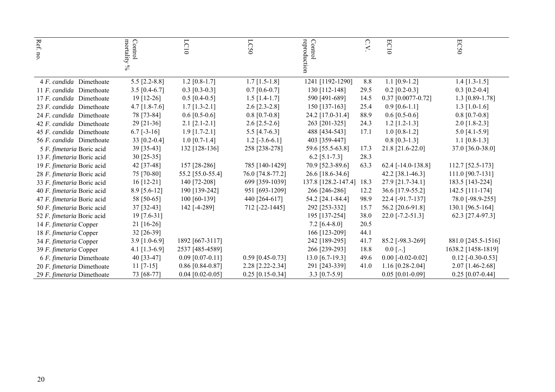| Ref. no.                   | mortality $\%$<br>Control | LCI                | <b>LC50</b>        | reproduction<br>Control  | $\circ$<br>$\geq$ | EC10                   | ECS0                |
|----------------------------|---------------------------|--------------------|--------------------|--------------------------|-------------------|------------------------|---------------------|
|                            |                           |                    |                    |                          |                   |                        |                     |
|                            |                           |                    |                    |                          |                   |                        |                     |
| 4 F. candida Dimethoate    | $5.5$ [2.2-8.8]           | $1.2$ [0.8-1.7]    | $1.7$ [1.5-1.8]    | 1241 [1192-1290]         | 8.8               | $1.1$ [0.9-1.2]        | $1.4$ [1.3-1.5]     |
| 11 F. candida Dimethoate   | $3.5$ [0.4-6.7]           | $0.3$ [0.3-0.3]    | $0.7$ [0.6-0.7]    | 130 [112-148]            | 29.5              | $0.2$ [0.2-0.3]        | $0.3$ [0.2-0.4]     |
| 17 F. candida Dimethoate   | $19$ [12-26]              | $0.5$ [0.4-0.5]    | $1.5$ [1.4-1.7]    | 590 [491-689]            | 14.5              | $0.37$ [0.0077-0.72]   | 1.3 $[0.89 - 1.78]$ |
| 23 F. candida Dimethoate   | $4.7$ [1.8-7.6]           | $1.7$ [1.3-2.1]    | $2.6$ [2.3-2.8]    | 150 [137-163]            | 25.4              | $0.9$ [0.6-1.1]        | $1.3$ [1.0-1.6]     |
| 24 F. candida Dimethoate   | 78 [73-84]                | $0.6$ [0.5-0.6]    | $0.8$ [0.7-0.8]    | 24.2 [17.0-31.4]         | 88.9              | $0.6$ [0.5-0.6]        | $0.8$ [0.7-0.8]     |
| 42 F. candida Dimethoate   | 29 [21-36]                | $2.1$ [2.1-2.1]    | $2.6$ [2.5-2.6]    | 263 [201-325]            | 24.3              | $1.2$ [1.2-1.3]        | $2.0$ [1.8-2.3]     |
| 45 F. candida Dimethoate   | $6.7$ [-3-16]             | $1.9$ [1.7-2.1]    | 5.5 $[4.7-6.3]$    | 488 [434-543]            | 17.1              | $1.0$ [0.8-1.2]        | 5.0 $[4.1-5.9]$     |
| 56 F. candida Dimethoate   | 33 [0.2-0.4]              | $1.0$ [0.7-1.4]    | $1.2$ [-3.6-6.1]   | 403 [359-447]            |                   | $0.8$ [0.3-1.3]        | 1.1 $[0.8-1.3]$     |
| 5 F. fimetaria Boric acid  | 39 [35-43]                | 132 [128-136]      | 258 [238-278]      | 59.6 [55.5-63.8]         | 17.3              | 21.8 [21.6-22.0]       | 37.0 [36.0-38.0]    |
| 13 F. fimetaria Boric acid | 30 [25-35]                |                    |                    | $6.2$ [5.1-7.3]          | 28.3              |                        |                     |
| 19 F. fimetaria Boric acid | 42 [37-48]                | 157 [28-286]       | 785 [140-1429]     | 70.9 [52.3-89.6]         | 63.3              | 62.4 $[-14.0 - 138.8]$ | 112.7 [52.5-173]    |
| 28 F. fimetaria Boric acid | 75 [70-80]                | 55.2 [55.0-55.4]   | 76.0 [74.8-77.2]   | 26.6 [18.6-34.6]         |                   | 42.2 [38.1-46.3]       | 111.0 [90.7-131]    |
| 33 F. fimetaria Boric acid | $16$ [12-21]              | 140 [72-208]       | 699 [359-1039]     | 137.8 [128.2-147.4] 18.3 |                   | 27.9 [21.7-34.1]       | 183.5 [143-224]     |
| 40 F. fimetaria Boric acid | 8.9 [5.6-12]              | 190 [139-242]      | 951 [693-1209]     | 266 [246-286]            | 12.2              | 36.6 [17.9-55.2]       | 142.5 [111-174]     |
| 47 F. fimetaria Boric acid | 58 [50-65]                | 100 [60-139]       | 440 [264-617]      | 54.2 [24.1-84.4]         | 98.9              | 22.4 [-91.7-137]       | 78.0 [-98.9-255]    |
| 50 F. fimetaria Boric acid | 37 [32-43]                | 142 [-4-289]       | 712 [-22-1445]     | 292 [253-332]            | 15.7              | 56.2 [20.6-91.8]       | 130.1 [96.5-164]    |
| 52 F. fimetaria Boric acid | 19 [7.6-31]               |                    |                    | 195 [137-254]            | 38.0              | $22.0$ [-7.2-51.3]     | 62.3 [27.4-97.3]    |
| 14 F. fimetaria Copper     | 21 [16-26]                |                    |                    | $7.2$ [6.4-8.0]          | 20.5              |                        |                     |
| 18 F. fimetaria Copper     | 32 [26-39]                |                    |                    | 166 [123-209]            | 44.1              |                        |                     |
| 34 F. fimetaria Copper     | $3.9$ [1.0-6.9]           | 1892 [667-3117]    |                    | 242 [189-295]            | 41.7              | 85.2 [-98.3-269]       | 881.0 [245.5-1516]  |
| 39 F. fimetaria Copper     | 4.1 $[1.3-6.9]$           | 2537 [485-4589]    |                    | 266 [239-293]            | 18.8              | $0.0$ [ $.-$ ]         | 1638.2 [1458-1819]  |
| 6 F. fimetaria Dimethoate  | 40 [33-47]                | $0.09$ [0.07-0.11] | $0.59$ [0.45-0.73] | 13.0 [6.7-19.3]          | 49.6              | $0.00$ [-0.02-0.02]    | $0.12$ [-0.30-0.53] |
| 20 F. fimetaria Dimethoate | $11$ [7-15]               | $0.86$ [0.84-0.87] | 2.28 [2.22-2.34]   | 291 [243-339]            | 41.0              | $1.16$ [0.28-2.04]     | 2.07 [1.46-2.68]    |
| 29 F. fimetaria Dimethoate | 73 [68-77]                | $0.04$ [0.02-0.05] | $0.25$ [0.15-0.34] | 3.3 $[0.7-5.9]$          |                   | $0.05$ [0.01-0.09]     | $0.25$ [0.07-0.44]  |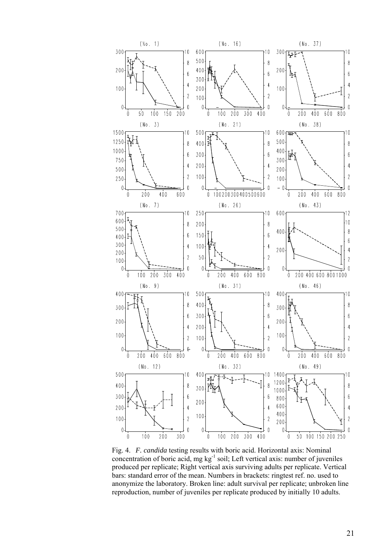

Fig. 4. *F. candida* testing results with boric acid. Horizontal axis: Nominal concentration of boric acid, mg  $kg^{-1}$  soil; Left vertical axis: number of juveniles produced per replicate; Right vertical axis surviving adults per replicate. Vertical bars: standard error of the mean. Numbers in brackets: ringtest ref. no. used to anonymize the laboratory. Broken line: adult survival per replicate; unbroken line reproduction, number of juveniles per replicate produced by initially 10 adults.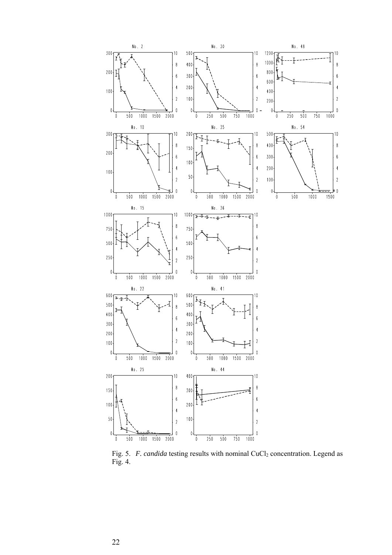

Fig. 5. *F. candida* testing results with nominal CuCl<sub>2</sub> concentration. Legend as Fig. 4.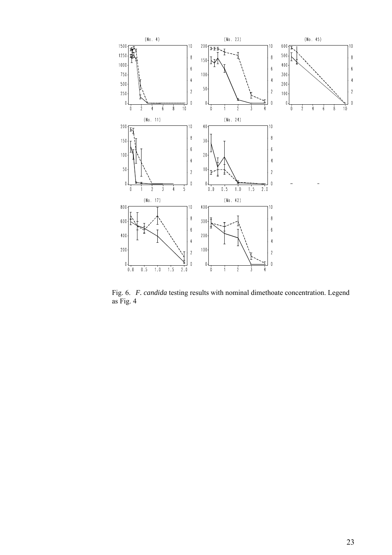

Fig. 6. *F. candida* testing results with nominal dimethoate concentration. Legend as Fig. 4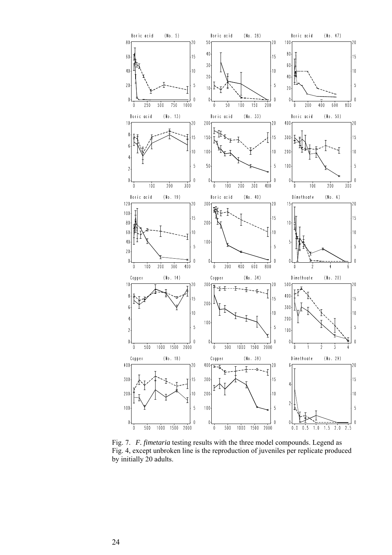

Fig. 7. *F. fimetaria* testing results with the three model compounds. Legend as Fig. 4, except unbroken line is the reproduction of juveniles per replicate produced by initially 20 adults.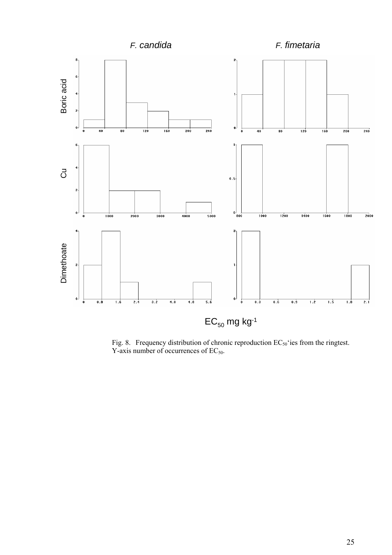

Fig. 8. Frequency distribution of chronic reproduction  $EC_{50}$  ies from the ringtest. Y-axis number of occurrences of  $EC_{50}$ .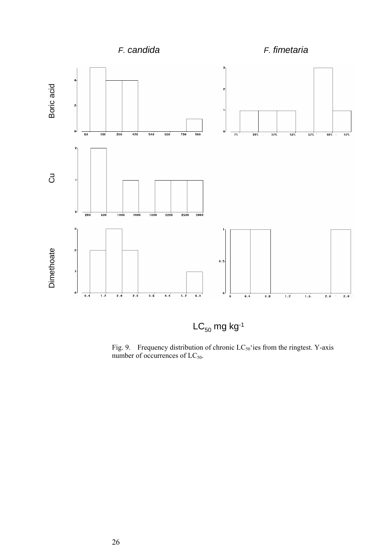

Fig. 9. Frequency distribution of chronic  $LC_{50}$  'ies from the ringtest. Y-axis number of occurrences of  $LC_{50}$ .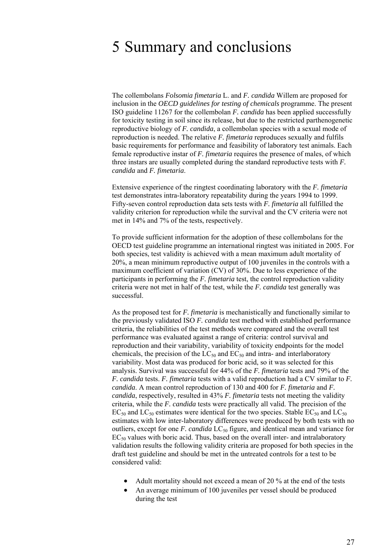### 5 Summary and conclusions

The collembolans *Folsomia fimetaria* L. and *F. candida* Willem are proposed for inclusion in the *OECD guidelines for testing of chemicals* programme. The present ISO guideline 11267 for the collembolan *F. candida* has been applied successfully for toxicity testing in soil since its release, but due to the restricted parthenogenetic reproductive biology of *F. candida*, a collembolan species with a sexual mode of reproduction is needed. The relative *F. fimetaria* reproduces sexually and fulfils basic requirements for performance and feasibility of laboratory test animals. Each female reproductive instar of *F. fimetaria* requires the presence of males, of which three instars are usually completed during the standard reproductive tests with *F. candida* and *F. fimetaria*.

Extensive experience of the ringtest coordinating laboratory with the *F. fimetaria*  test demonstrates intra-laboratory repeatability during the years 1994 to 1999. Fifty-seven control reproduction data sets tests with *F. fimetaria* all fulfilled the validity criterion for reproduction while the survival and the CV criteria were not met in 14% and 7% of the tests, respectively.

To provide sufficient information for the adoption of these collembolans for the OECD test guideline programme an international ringtest was initiated in 2005. For both species, test validity is achieved with a mean maximum adult mortality of 20%, a mean minimum reproductive output of 100 juveniles in the controls with a maximum coefficient of variation (CV) of 30%. Due to less experience of the participants in performing the *F. fimetaria* test, the control reproduction validity criteria were not met in half of the test, while the *F. candida* test generally was successful.

As the proposed test for *F. fimetaria* is mechanistically and functionally similar to the previously validated ISO *F. candida* test method with established performance criteria, the reliabilities of the test methods were compared and the overall test performance was evaluated against a range of criteria: control survival and reproduction and their variability, variability of toxicity endpoints for the model chemicals, the precision of the  $LC_{50}$  and  $EC_{50}$  and intra- and interlaboratory variability. Most data was produced for boric acid, so it was selected for this analysis. Survival was successful for 44% of the *F. fimetaria* tests and 79% of the *F. candida* tests. *F. fimetaria* tests with a valid reproduction had a CV similar to *F. candida*. A mean control reproduction of 130 and 400 for *F. fimetaria* and *F. candida*, respectively, resulted in 43% *F. fimetaria* tests not meeting the validity criteria, while the *F. candida* tests were practically all valid. The precision of the  $EC_{50}$  and  $LC_{50}$  estimates were identical for the two species. Stable  $EC_{50}$  and  $LC_{50}$ estimates with low inter-laboratory differences were produced by both tests with no outliers, except for one  $F$ . *candida*  $LC_{50}$  figure, and identical mean and variance for  $EC_{50}$  values with boric acid. Thus, based on the overall inter- and intralaboratory validation results the following validity criteria are proposed for both species in the draft test guideline and should be met in the untreated controls for a test to be considered valid:

- Adult mortality should not exceed a mean of 20 % at the end of the tests
- An average minimum of 100 juveniles per vessel should be produced during the test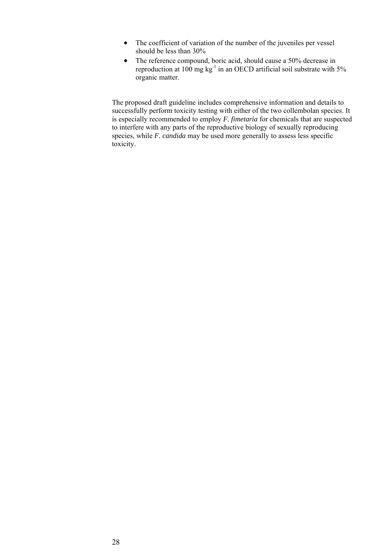- The coefficient of variation of the number of the juveniles per vessel should be less than 30%
- The reference compound, boric acid, should cause a 50% decrease in reproduction at  $100 \text{ mg kg}^{-1}$  in an OECD artificial soil substrate with 5% organic matter.

The proposed draft guideline includes comprehensive information and details to successfully perform toxicity testing with either of the two collembolan species. It is especially recommended to employ *F. fimetaria* for chemicals that are suspected to interfere with any parts of the reproductive biology of sexually reproducing species, while *F. candida* may be used more generally to assess less specific toxicity.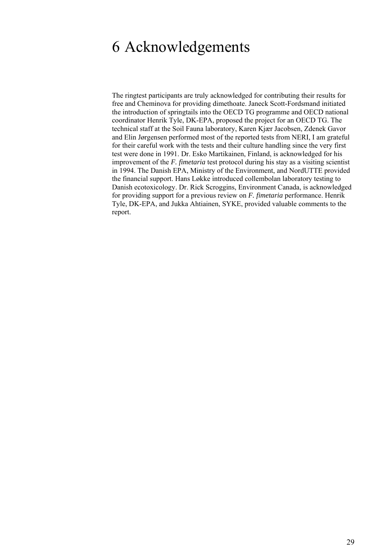### 6 Acknowledgements

The ringtest participants are truly acknowledged for contributing their results for free and Cheminova for providing dimethoate. Janeck Scott-Fordsmand initiated the introduction of springtails into the OECD TG programme and OECD national coordinator Henrik Tyle, DK-EPA, proposed the project for an OECD TG. The technical staff at the Soil Fauna laboratory, Karen Kjær Jacobsen, Zdenek Gavor and Elin Jørgensen performed most of the reported tests from NERI, I am grateful for their careful work with the tests and their culture handling since the very first test were done in 1991. Dr. Esko Martikainen, Finland, is acknowledged for his improvement of the *F. fimetaria* test protocol during his stay as a visiting scientist in 1994. The Danish EPA, Ministry of the Environment, and NordUTTE provided the financial support. Hans Løkke introduced collembolan laboratory testing to Danish ecotoxicology. Dr. Rick Scroggins, Environment Canada, is acknowledged for providing support for a previous review on *F. fimetaria* performance. Henrik Tyle, DK-EPA, and Jukka Ahtiainen, SYKE, provided valuable comments to the report.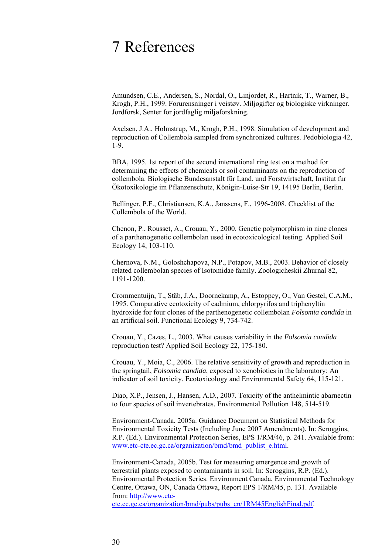### 7 References

Amundsen, C.E., Andersen, S., Nordal, O., Linjordet, R., Hartnik, T., Warner, B., Krogh, P.H., 1999. Forurensninger i veistøv. Miljøgifter og biologiske virkninger. Jordforsk, Senter for jordfaglig miljøforskning.

Axelsen, J.A., Holmstrup, M., Krogh, P.H., 1998. Simulation of development and reproduction of Collembola sampled from synchronized cultures. Pedobiologia 42, 1-9.

BBA, 1995. 1st report of the second international ring test on a method for determining the effects of chemicals or soil contaminants on the reproduction of collembola. Biologische Bundesanstalt für Land. und Forstwirtschaft, Institut fur Ökotoxikologie im Pflanzenschutz, Königin-Luise-Str 19, 14195 Berlin, Berlin.

Bellinger, P.F., Christiansen, K.A., Janssens, F., 1996-2008. Checklist of the Collembola of the World.

Chenon, P., Rousset, A., Crouau, Y., 2000. Genetic polymorphism in nine clones of a parthenogenetic collembolan used in ecotoxicological testing. Applied Soil Ecology 14, 103-110.

Chernova, N.M., Goloshchapova, N.P., Potapov, M.B., 2003. Behavior of closely related collembolan species of Isotomidae family. Zoologicheskii Zhurnal 82, 1191-1200.

Crommentuijn, T., Stäb, J.A., Doornekamp, A., Estoppey, O., Van Gestel, C.A.M., 1995. Comparative ecotoxicity of cadmium, chlorpyrifos and triphenyltin hydroxide for four clones of the parthenogenetic collembolan *Folsomia candida* in an artificial soil. Functional Ecology 9, 734-742.

Crouau, Y., Cazes, L., 2003. What causes variability in the *Folsomia candida* reproduction test? Applied Soil Ecology 22, 175-180.

Crouau, Y., Moia, C., 2006. The relative sensitivity of growth and reproduction in the springtail, *Folsomia candida*, exposed to xenobiotics in the laboratory: An indicator of soil toxicity. Ecotoxicology and Environmental Safety 64, 115-121.

Diao, X.P., Jensen, J., Hansen, A.D., 2007. Toxicity of the anthelmintic abarnectin to four species of soil invertebrates. Environmental Pollution 148, 514-519.

Environment-Canada, 2005a. Guidance Document on Statistical Methods for Environmental Toxicity Tests (Including June 2007 Amendments). In: Scroggins, R.P. (Ed.). Environmental Protection Series, EPS 1/RM/46, p. 241. Available from: www.etc-cte.ec.gc.ca/organization/bmd/bmd\_publist\_e.html.

Environment-Canada, 2005b. Test for measuring emergence and growth of terrestrial plants exposed to contaminants in soil. In: Scroggins, R.P. (Ed.). Environmental Protection Series. Environment Canada, Environmental Technology Centre, Ottawa, ON, Canada Ottawa, Report EPS 1/RM/45, p. 131. Available from: http://www.etc-

cte.ec.gc.ca/organization/bmd/pubs/pubs\_en/1RM45EnglishFinal.pdf.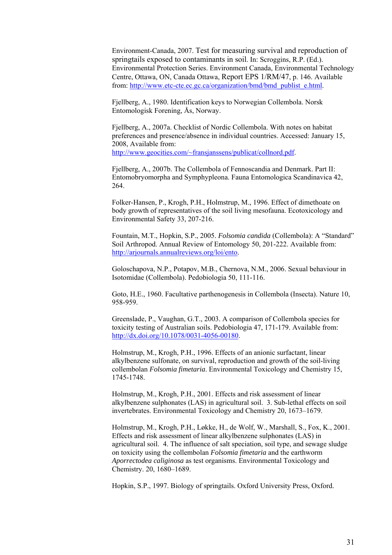Environment-Canada, 2007. Test for measuring survival and reproduction of springtails exposed to contaminants in soil. In: Scroggins, R.P. (Ed.). Environmental Protection Series. Environment Canada, Environmental Technology Centre, Ottawa, ON, Canada Ottawa, Report EPS 1/RM/47, p. 146. Available from: http://www.etc-cte.ec.gc.ca/organization/bmd/bmd publist e.html.

Fjellberg, A., 1980. Identification keys to Norwegian Collembola. Norsk Entomologisk Forening, Ås, Norway.

Fjellberg, A., 2007a. Checklist of Nordic Collembola. With notes on habitat preferences and presence/absence in individual countries. Accessed: January 15, 2008, Available from: http://www.geocities.com/~fransjanssens/publicat/collnord.pdf.

Fjellberg, A., 2007b. The Collembola of Fennoscandia and Denmark. Part II: Entomobryomorpha and Symphypleona. Fauna Entomologica Scandinavica 42, 264.

Folker-Hansen, P., Krogh, P.H., Holmstrup, M., 1996. Effect of dimethoate on body growth of representatives of the soil living mesofauna. Ecotoxicology and Environmental Safety 33, 207-216.

Fountain, M.T., Hopkin, S.P., 2005. *Folsomia candida* (Collembola): A "Standard" Soil Arthropod. Annual Review of Entomology 50, 201-222. Available from: http://arjournals.annualreviews.org/loi/ento.

Goloschapova, N.P., Potapov, M.B., Chernova, N.M., 2006. Sexual behaviour in Isotomidae (Collembola). Pedobiologia 50, 111-116.

Goto, H.E., 1960. Facultative parthenogenesis in Collembola (Insecta). Nature 10, 958-959.

Greenslade, P., Vaughan, G.T., 2003. A comparison of Collembola species for toxicity testing of Australian soils. Pedobiologia 47, 171-179. Available from: http://dx.doi.org/10.1078/0031-4056-00180.

Holmstrup, M., Krogh, P.H., 1996. Effects of an anionic surfactant, linear alkylbenzene sulfonate, on survival, reproduction and growth of the soil-living collembolan *Folsomia fimetaria*. Environmental Toxicology and Chemistry 15, 1745-1748.

Holmstrup, M., Krogh, P.H., 2001. Effects and risk assessment of linear alkylbenzene sulphonates (LAS) in agricultural soil. 3. Sub-lethal effects on soil invertebrates. Environmental Toxicology and Chemistry 20, 1673–1679.

Holmstrup, M., Krogh, P.H., Løkke, H., de Wolf, W., Marshall, S., Fox, K., 2001. Effects and risk assessment of linear alkylbenzene sulphonates (LAS) in agricultural soil. 4. The influence of salt speciation, soil type, and sewage sludge on toxicity using the collembolan *Folsomia fimetaria* and the earthworm *Aporrectodea caliginosa* as test organisms. Environmental Toxicology and Chemistry. 20, 1680–1689.

Hopkin, S.P., 1997. Biology of springtails. Oxford University Press, Oxford.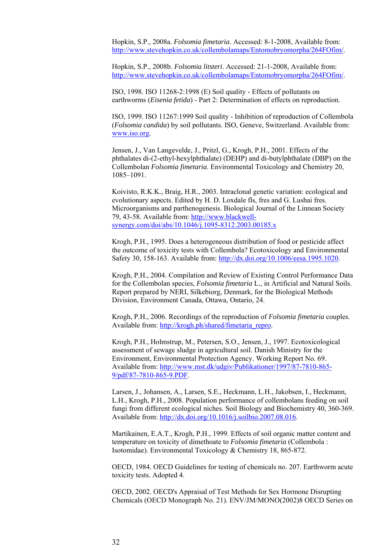Hopkin, S.P., 2008a. *Folsomia fimetaria*. Accessed: 8-1-2008, Available from: http://www.stevehopkin.co.uk/collembolamaps/Entomobryomorpha/264FOfim/.

Hopkin, S.P., 2008b. *Folsomia litsteri*. Accessed: 21-1-2008, Available from: http://www.stevehopkin.co.uk/collembolamaps/Entomobryomorpha/264FOfim/.

ISO, 1998. ISO 11268-2:1998 (E) Soil quality - Effects of pollutants on earthworms (*Eisenia fetida*) - Part 2: Determination of effects on reproduction.

ISO, 1999. ISO 11267:1999 Soil quality - Inhibition of reproduction of Collembola (*Folsomia candida*) by soil pollutants. ISO, Geneve, Switzerland. Available from: www.iso.org.

Jensen, J., Van Langevelde, J., Pritzl, G., Krogh, P.H., 2001. Effects of the phthalates di-(2-ethyl-hexylphthalate) (DEHP) and di-butylphthalate (DBP) on the Collembolan *Folsomia fimetaria*. Environmental Toxicology and Chemistry 20, 1085–1091.

Koivisto, R.K.K., Braig, H.R., 2003. Intraclonal genetic variation: ecological and evolutionary aspects. Edited by H. D. Loxdale fls, fres and G. Lushai fres. Microorganisms and parthenogenesis. Biological Journal of the Linnean Society 79, 43-58. Available from: http://www.blackwellsynergy.com/doi/abs/10.1046/j.1095-8312.2003.00185.x

Krogh, P.H., 1995. Does a heterogeneous distribution of food or pesticide affect the outcome of toxicity tests with Collembola? Ecotoxicology and Environmental Safety 30, 158-163. Available from: http://dx.doi.org/10.1006/eesa.1995.1020.

Krogh, P.H., 2004. Compilation and Review of Existing Control Performance Data for the Collembolan species, *Folsomia fimetaria* L., in Artificial and Natural Soils. Report prepared by NERI, Silkebiorg, Denmark, for the Biological Methods Division, Environment Canada, Ottawa, Ontario, 24.

Krogh, P.H., 2006. Recordings of the reproduction of *Folsomia fimetaria* couples. Available from: http://krogh.ph/shared/fimetaria\_repro.

Krogh, P.H., Holmstrup, M., Petersen, S.O., Jensen, J., 1997. Ecotoxicological assessment of sewage sludge in agricultural soil. Danish Ministry for the Environment, Environmental Protection Agency. Working Report No. 69. Available from: http://www.mst.dk/udgiv/Publikationer/1997/87-7810-865- 9/pdf/87-7810-865-9.PDF.

Larsen, J., Johansen, A., Larsen, S.E., Heckmann, L.H., Jakobsen, I., Heckmann, L.H., Krogh, P.H., 2008. Population performance of collembolans feeding on soil fungi from different ecological niches. Soil Biology and Biochemistry 40, 360-369. Available from: http://dx.doi.org/10.1016/j.soilbio.2007.08.016.

Martikainen, E.A.T., Krogh, P.H., 1999. Effects of soil organic matter content and temperature on toxicity of dimethoate to *Folsomia fimetaria* (Collembola : Isotomidae). Environmental Toxicology & Chemistry 18, 865-872.

OECD, 1984. OECD Guidelines for testing of chemicals no. 207. Earthworm acute toxicity tests. Adopted 4.

OECD, 2002. OECD's Appraisal of Test Methods for Sex Hormone Disrupting Chemicals (OECD Monograph No. 21). ENV/JM/MONO(2002)8 OECD Series on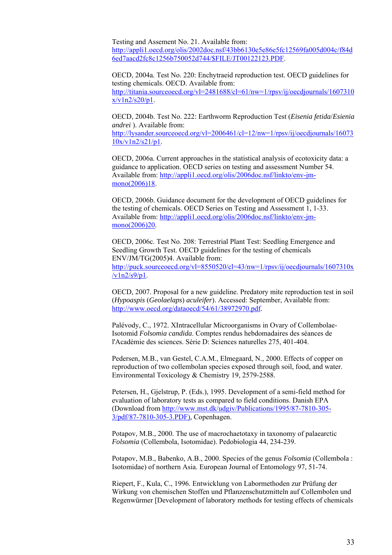Testing and Assement No. 21. Available from: http://appli1.oecd.org/olis/2002doc.nsf/43bb6130e5e86e5fc12569fa005d004c/f84d 6ed7aacd2fc8c1256b750052d744/\$FILE/JT00122123.PDF.

OECD, 2004a. Test No. 220: Enchytraeid reproduction test. OECD guidelines for testing chemicals. OECD. Available from: http://titania.sourceoecd.org/vl=2481688/cl=61/nw=1/rpsv/ij/oecdjournals/1607310  $x/v1n2/s20/b1$ .

OECD, 2004b. Test No. 222: Earthworm Reproduction Test (*Eisenia fetida*/*Esienia andrei* ). Available from:

http://lysander.sourceoecd.org/vl=2006461/cl=12/nw=1/rpsv/ij/oecdjournals/16073  $10x/v1n2/s21/p1$ .

OECD, 2006a. Current approaches in the statistical analysis of ecotoxicity data: a guidance to application. OECD series on testing and assessment Number 54. Available from: http://appli1.oecd.org/olis/2006doc.nsf/linkto/env-jmmono(2006)18.

OECD, 2006b. Guidance document for the development of OECD guidelines for the testing of chemicals. OECD Series on Testing and Assessment 1, 1-33. Available from: http://appli1.oecd.org/olis/2006doc.nsf/linkto/env-jmmono(2006)20.

OECD, 2006c. Test No. 208: Terrestrial Plant Test: Seedling Emergence and Seedling Growth Test. OECD guidelines for the testing of chemicals ENV/JM/TG(2005)4. Available from: http://puck.sourceoecd.org/vl=8550520/cl=43/nw=1/rpsv/ij/oecdjournals/1607310x  $\sqrt{v1n2/s9/p1}$ .

OECD, 2007. Proposal for a new guideline. Predatory mite reproduction test in soil (*Hypoaspis* (*Geolaelaps*) *aculeifer*). Accessed: September, Available from: http://www.oecd.org/dataoecd/54/61/38972970.pdf.

Palévody, C., 1972. XIntracellular Microorganisms in Ovary of Collembolae-Isotomid *Folsomia candida*. Comptes rendus hebdomadaires des séances de l'Académie des sciences. Série D: Sciences naturelles 275, 401-404.

Pedersen, M.B., van Gestel, C.A.M., Elmegaard, N., 2000. Effects of copper on reproduction of two collembolan species exposed through soil, food, and water. Environmental Toxicology & Chemistry 19, 2579-2588.

Petersen, H., Gjelstrup, P. (Eds.), 1995. Development of a semi-field method for evaluation of laboratory tests as compared to field conditions. Danish EPA (Download from http://www.mst.dk/udgiv/Publications/1995/87-7810-305- 3/pdf/87-7810-305-3.PDF), Copenhagen.

Potapov, M.B., 2000. The use of macrochaetotaxy in taxonomy of palaearctic *Folsomia* (Collembola, Isotomidae). Pedobiologia 44, 234-239.

Potapov, M.B., Babenko, A.B., 2000. Species of the genus *Folsomia* (Collembola : Isotomidae) of northern Asia. European Journal of Entomology 97, 51-74.

Riepert, F., Kula, C., 1996. Entwicklung von Labormethoden zur Prüfung der Wirkung von chemischen Stoffen und Pflanzenschutzmitteln auf Collembolen und Regenwürmer [Development of laboratory methods for testing effects of chemicals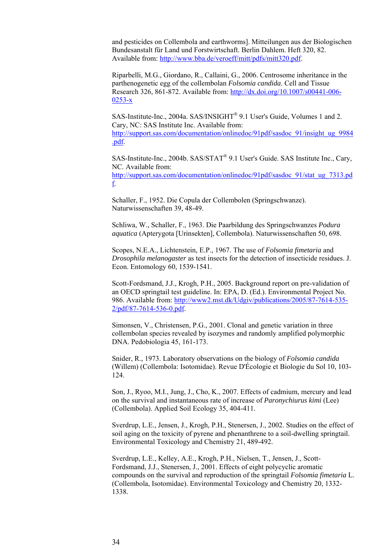and pesticides on Collembola and earthworms]. Mitteilungen aus der Biologischen Bundesanstalt für Land und Forstwirtschaft. Berlin Dahlem. Heft 320, 82. Available from: http://www.bba.de/veroeff/mitt/pdfs/mitt320.pdf.

Riparbelli, M.G., Giordano, R., Callaini, G., 2006. Centrosome inheritance in the parthenogenetic egg of the collembolan *Folsomia candida*. Cell and Tissue Research 326, 861-872. Available from: http://dx.doi.org/10.1007/s00441-006- 0253-x

SAS-Institute-Inc., 2004a. SAS/INSIGHT® 9.1 User's Guide, Volumes 1 and 2. Cary, NC: SAS Institute Inc. Available from: http://support.sas.com/documentation/onlinedoc/91pdf/sasdoc\_91/insight\_ug\_9984 .pdf.

SAS-Institute-Inc., 2004b. SAS/STAT® 9.1 User's Guide. SAS Institute Inc., Cary, NC. Available from: http://support.sas.com/documentation/onlinedoc/91pdf/sasdoc\_91/stat\_ug\_7313.pd f.

Schaller, F., 1952. Die Copula der Collembolen (Springschwanze). Naturwissenschaften 39, 48-49.

Schliwa, W., Schaller, F., 1963. Die Paarbildung des Springschwanzes *Podura aquatica* (Apterygota [Urinsekten], Collembola). Naturwissenschaften 50, 698.

Scopes, N.E.A., Lichtenstein, E.P., 1967. The use of *Folsomia fimetaria* and *Drosophila melanogaster* as test insects for the detection of insecticide residues. J. Econ. Entomology 60, 1539-1541.

Scott-Fordsmand, J.J., Krogh, P.H., 2005. Background report on pre-validation of an OECD springtail test guideline. In: EPA, D. (Ed.). Environmental Project No. 986. Available from: http://www2.mst.dk/Udgiv/publications/2005/87-7614-535- 2/pdf/87-7614-536-0.pdf.

Simonsen, V., Christensen, P.G., 2001. Clonal and genetic variation in three collembolan species revealed by isozymes and randomly amplified polymorphic DNA. Pedobiologia 45, 161-173.

Snider, R., 1973. Laboratory observations on the biology of *Folsomia candida* (Willem) (Collembola: Isotomidae). Revue D'Écologie et Biologie du Sol 10, 103- 124.

Son, J., Ryoo, M.I., Jung, J., Cho, K., 2007. Effects of cadmium, mercury and lead on the survival and instantaneous rate of increase of *Paronychiurus kimi* (Lee) (Collembola). Applied Soil Ecology 35, 404-411.

Sverdrup, L.E., Jensen, J., Krogh, P.H., Stenersen, J., 2002. Studies on the effect of soil aging on the toxicity of pyrene and phenanthrene to a soil-dwelling springtail. Environmental Toxicology and Chemistry 21, 489-492.

Sverdrup, L.E., Kelley, A.E., Krogh, P.H., Nielsen, T., Jensen, J., Scott-Fordsmand, J.J., Stenersen, J., 2001. Effects of eight polycyclic aromatic compounds on the survival and reproduction of the springtail *Folsomia fimetaria* L. (Collembola, Isotomidae). Environmental Toxicology and Chemistry 20, 1332- 1338.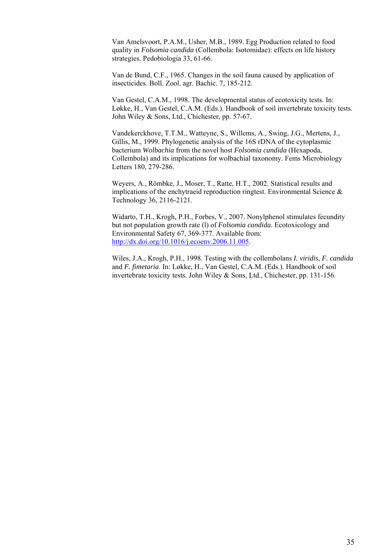Van Amelsvoort, P.A.M., Usher, M.B., 1989. Egg Production related to food quality in *Folsomia candida* (Collembola: Isotomidae): effects on life history strategies. Pedobiologia 33, 61-66.

Van de Bund, C.F., 1965. Changes in the soil fauna caused by application of insecticides. Boll. Zool. agr. Bachic. 7, 185-212.

Van Gestel, C.A.M., 1998. The developmental status of ecotoxicity tests. In: Løkke, H., Van Gestel, C.A.M. (Eds.). Handbook of soil invertebrate toxicity tests. John Wiley & Sons, Ltd., Chichester, pp. 57-67.

Vandekerckhove, T.T.M., Watteyne, S., Willems, A., Swing, J.G., Mertens, J., Gillis, M., 1999. Phylogenetic analysis of the 16S rDNA of the cytoplasmic bacterium *Wolbachia* from the novel host *Folsomia candida* (Hexapoda, Collembola) and its implications for wolbachial taxonomy. Fems Microbiology Letters 180, 279-286.

Weyers, A., Römbke, J., Moser, T., Ratte, H.T., 2002. Statistical results and implications of the enchytraeid reproduction ringtest. Environmental Science  $\&$ Technology 36, 2116-2121.

Widarto, T.H., Krogh, P.H., Forbes, V., 2007. Nonylphenol stimulates fecundity but not population growth rate (l) of *Folsomia candida*. Ecotoxicology and Environmental Safety 67, 369-377. Available from: http://dx.doi.org/10.1016/j.ecoenv.2006.11.005.

Wiles, J.A., Krogh, P.H., 1998. Testing with the collembolans *I. viridis*, *F. candida* and *F. fimetaria*. In: Løkke, H., Van Gestel, C.A.M. (Eds.). Handbook of soil invertebrate toxicity tests. John Wiley & Sons, Ltd., Chichester, pp. 131-156.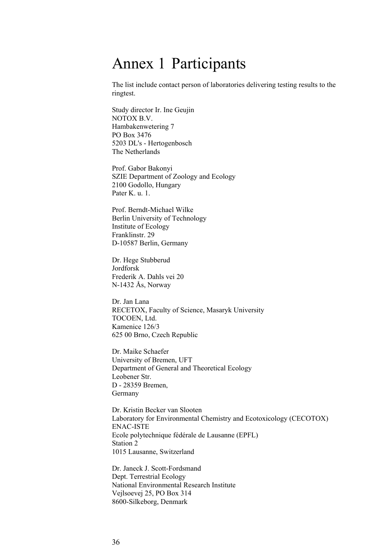### Annex 1 Participants

The list include contact person of laboratories delivering testing results to the ringtest.

Study director Ir. Ine Geujin NOTOX B.V. Hambakenwetering 7 PO Box 3476 5203 DL's - Hertogenbosch The Netherlands

Prof. Gabor Bakonyi SZIE Department of Zoology and Ecology 2100 Godollo, Hungary Pater K. u. 1.

Prof. Berndt-Michael Wilke Berlin University of Technology Institute of Ecology Franklinstr. 29 D-10587 Berlin, Germany

Dr. Hege Stubberud Jordforsk Frederik A. Dahls vei 20 N-1432 Ås, Norway

Dr. Jan Lana RECETOX, Faculty of Science, Masaryk University TOCOEN, Ltd. Kamenice 126/3 625 00 Brno, Czech Republic

Dr. Maike Schaefer University of Bremen, UFT Department of General and Theoretical Ecology Leobener Str. D - 28359 Bremen, Germany

Dr. Kristin Becker van Slooten Laboratory for Environmental Chemistry and Ecotoxicology (CECOTOX) ENAC-ISTE Ecole polytechnique fédérale de Lausanne (EPFL) Station 2 1015 Lausanne, Switzerland

Dr. Janeck J. Scott-Fordsmand Dept. Terrestrial Ecology National Environmental Research Institute Vejlsoevej 25, PO Box 314 8600-Silkeborg, Denmark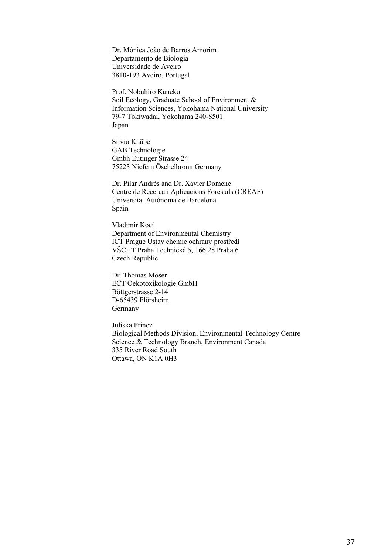Dr. Mónica João de Barros Amorim Departamento de Biologia Universidade de Aveiro 3810-193 Aveiro, Portugal

Prof. Nobuhiro Kaneko Soil Ecology, Graduate School of Environment & Information Sciences, Yokohama National University 79-7 Tokiwadai, Yokohama 240-8501 Japan

Silvio Knäbe GAB Technologie Gmbh Eutinger Strasse 24 75223 Niefern Öschelbronn Germany

Dr. Pilar Andrés and Dr. Xavier Domene Centre de Recerca i Aplicacions Forestals (CREAF) Universitat Autònoma de Barcelona Spain

Vladimír Kocí Department of Environmental Chemistry ICT Prague Ústav chemie ochrany prostředí VŠCHT Praha Technická 5, 166 28 Praha 6 Czech Republic

Dr. Thomas Moser ECT Oekotoxikologie GmbH Böttgerstrasse 2-14 D-65439 Flörsheim Germany

Juliska Princz Biological Methods Division, Environmental Technology Centre Science & Technology Branch, Environment Canada 335 River Road South Ottawa, ON K1A 0H3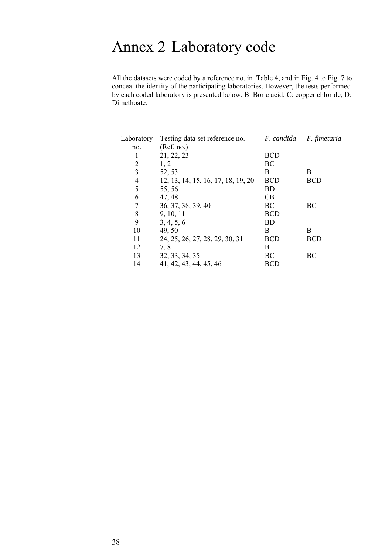# Annex 2 Laboratory code

All the datasets were coded by a reference no. in Table 4, and in Fig. 4 to Fig. 7 to conceal the identity of the participating laboratories. However, the tests performed by each coded laboratory is presented below. B: Boric acid; C: copper chloride; D: Dimethoate.

| Laboratory | Testing data set reference no.     | F. candida | F. fimetaria |
|------------|------------------------------------|------------|--------------|
| no.        | (Ref. no.)                         |            |              |
| 1          | 21, 22, 23                         | <b>BCD</b> |              |
| 2          | 1, 2                               | BC         |              |
| 3          | 52, 53                             | B          | B            |
| 4          | 12, 13, 14, 15, 16, 17, 18, 19, 20 | <b>BCD</b> | <b>BCD</b>   |
| 5          | 55, 56                             | <b>BD</b>  |              |
| 6          | 47, 48                             | CB         |              |
| 7          | 36, 37, 38, 39, 40                 | BC         | BC           |
| 8          | 9, 10, 11                          | <b>BCD</b> |              |
| 9          | 3, 4, 5, 6                         | <b>BD</b>  |              |
| 10         | 49, 50                             | B          | B            |
| 11         | 24, 25, 26, 27, 28, 29, 30, 31     | BCD        | <b>BCD</b>   |
| 12         | 7, 8                               | B          |              |
| 13         | 32, 33, 34, 35                     | BC         | BC           |
| 14         | 41, 42, 43, 44, 45, 46             | <b>BCD</b> |              |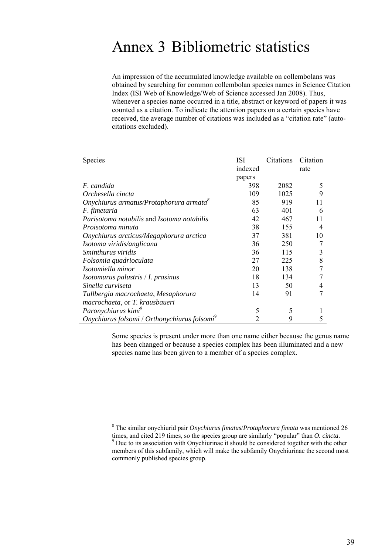### Annex 3 Bibliometric statistics

An impression of the accumulated knowledge available on collembolans was obtained by searching for common collembolan species names in Science Citation Index (ISI Web of Knowledge/Web of Science accessed Jan 2008). Thus, whenever a species name occurred in a title, abstract or keyword of papers it was counted as a citation. To indicate the attention papers on a certain species have received, the average number of citations was included as a "citation rate" (autocitations excluded).

| Species                                                  | <b>ISI</b> | Citations | Citation |
|----------------------------------------------------------|------------|-----------|----------|
|                                                          | indexed    |           | rate     |
|                                                          | papers     |           |          |
| F. candida                                               | 398        | 2082      | 5        |
| Orchesella cincta                                        | 109        | 1025      | 9        |
| Onychiurus armatus/Protaphorura armata <sup>8</sup>      | 85         | 919       | 11       |
| F. fimetaria                                             | 63         | 401       | 6        |
| Parisotoma notabilis and Isotoma notabilis               | 42         | 467       | 11       |
| Proisotoma minuta                                        | 38         | 155       | 4        |
| Onychiurus arcticus/Megaphorura arctica                  | 37         | 381       | 10       |
| Isotoma viridis/anglicana                                | 36         | 250       |          |
| <i>Sminthurus viridis</i>                                | 36         | 115       | 3        |
| Folsomia quadrioculata                                   | 27         | 225       | 8        |
| Isotomiella minor                                        | 20         | 138       |          |
| Isotomurus palustris / I. prasinus                       | 18         | 134       |          |
| Sinella curviseta                                        | 13         | 50        | 4        |
| Tullbergia macrochaeta, Mesaphorura                      | 14         | 91        |          |
| macrochaeta, or T. krausbaueri                           |            |           |          |
| Paronychiurus kimi <sup>9</sup>                          | 5          | 5         |          |
| Onychiurus folsomi / Orthonychiurus folsomi <sup>9</sup> | 2          | 9         | 5        |

Some species is present under more than one name either because the genus name has been changed or because a species complex has been illuminated and a new species name has been given to a member of a species complex.

l

<sup>8</sup> The similar onychiurid pair *Onychiurus fimatus*/*Protaphorura fimata* was mentioned 26 times, and cited 219 times, so the species group are similarly "popular" than *O. cincta*. <sup>9</sup> Due to its association with Onychiurinae it should be considered together with the other members of this subfamily, which will make the subfamily Onychiurinae the second most commonly published species group.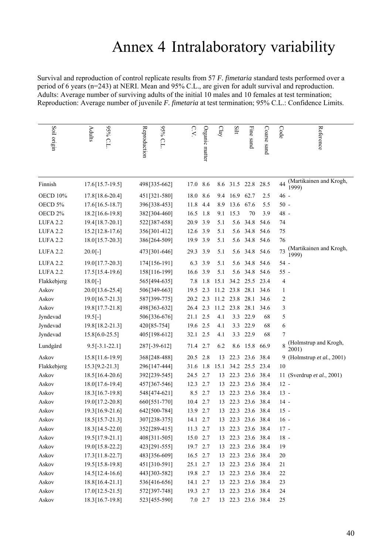## Annex 4 Intralaboratory variability

Survival and reproduction of control replicate results from 57 *F. fimetaria* standard tests performed over a period of 6 years (n=243) at NERI. Mean and 95% C.L., are given for adult survival and reproduction. Adults: Average number of surviving adults of the initial 10 males and 10 females at test termination; Reproduction: Average number of juvenile *F. fimetaria* at test termination; 95% C.L.: Confidence Limits.

| Soil origin     | 95% C.L.<br>Adults | 9656<br>Reproduction<br>CL | $C_{\mathbf{V}}$ | Organic matter | $\mathrm{Clay}$ | Silt      | Fine sand         | Coarse sand | Reference<br>Code                      |
|-----------------|--------------------|----------------------------|------------------|----------------|-----------------|-----------|-------------------|-------------|----------------------------------------|
| Finnish         | 17.6[15.7-19.5]    | 498[335-662]               | 17.0             | 8.6            |                 |           | 8.6 31.5 22.8     | 28.5        | (Martikainen and Krogh,<br>44<br>1999) |
| <b>OECD 10%</b> | 17.8 [18.6-20.4]   | 451[321-580]               | 18.0             | 8.6            | 9.4             | 16.9 62.7 |                   | 2.5         | $46 -$                                 |
| OECD 5%         | 17.6[16.5-18.7]    | 396[338-453]               | 11.8             | 4.4            | 8.9             | 13.6      | 67.6              | 5.5         | $50 -$                                 |
| OECD 2%         | 18.2[16.6-19.8]    | 382[304-460]               | 16.5             | 1.8            | 9.1             | 15.3      | 70                | 3.9         | 48 -                                   |
| LUFA 2.2        | 19.4[18.7-20.1]    | 522[387-658]               | 20.9             | 3.9            | 5.1             | 5.6       | 34.8              | 54.6        | 74                                     |
| <b>LUFA 2.2</b> | $15.2$ [12.8-17.6] | 356[301-412]               | 12.6 3.9         |                | 5.1             | 5.6       | 34.8              | 54.6        | 75                                     |
| LUFA 2.2        | 18.0[15.7-20.3]    | 386[264-509]               | 19.9             | 3.9            | 5.1             | 5.6       | 34.8              | 54.6        | 76                                     |
| LUFA 2.2        | $20.0[-]$          | 473[301-646]               | 29.3             | 3.9            | 5.1             | 5.6       | 34.8              | 54.6        | (Martikainen and Krogh,<br>73<br>1999) |
| LUFA 2.2        | 19.0[17.7-20.3]    | 174[156-191]               | 6.3              | 3.9            | 5.1             | 5.6       | 34.8              | 54.6        | $54 -$                                 |
| <b>LUFA 2.2</b> | 17.5 [15.4-19.6]   | 158[116-199]               | 16.6             | 3.9            | 5.1             | 5.6       | 34.8              | 54.6        | $55 -$                                 |
| Flakkebjerg     | $18.0[-]$          | 565[494-635]               | 7.8              | 1.8            | 15.1            |           | 34.2 25.5         | 23.4        | 4                                      |
| Askov           | 20.0[13.6-25.4]    | 506[349-663]               | 19.5             | 2.3            | 11.2            | 23.8      | 28.1              | 34.6        | $\mathbf{1}$                           |
| Askov           | 19.0[16.7-21.3]    | 587[399-775]               | 20.2             | 2.3            | 11.2            | 23.8      | 28.1              | 34.6        | 2                                      |
| Askov           | 19.8 [17.7-21.8]   | 498[363-632]               | 26.4             | 2.3            | 11.2            | 23.8      | 28.1              | 34.6        | 3                                      |
| Jyndevad        | $19.5[-]$          | 506[336-676]               | 21.1             | 2.5            | 4.1             | 3.3       | 22.9              | 68          | 5                                      |
| Jyndevad        | 19.8[18.2-21.3]    | 420[85-754]                | 19.6 2.5         |                | 4.1             | 3.3       | 22.9              | 68          | 6                                      |
| Jyndevad        | 15.8[6.0-25.5]     | 405[198-612]               | 32.1 2.5         |                | 4.1             | 3.3       | 22.9              | 68          | 7                                      |
| Lundgård        | $9.5[-3.1-22.1]$   | 287[-39-612]               | 71.4 2.7         |                | 6.2             | 8.6       | 15.8              | 66.9        | (Holmstrup and Krogh,<br>2001)         |
| Askov           | 15.8[11.6-19.9]    | 368[248-488]               | 20.5             | 2.8            | 13              | 22.3      | 23.6              | 38.4        | 9 (Holmstrup et al., 2001)             |
| Flakkebjerg     | 15.3[9.2-21.3]     | 296[147-444]               | 31.6             | 1.8            | 15.1            | 34.2      | 25.5              | 23.4        | 10                                     |
| Askov           | 18.5[16.4-20.6]    | 392[239-545]               | 24.5             | 2.7            | 13              | 22.3      | 23.6              | 38.4        | 11 (Sverdrup et al., 2001)             |
| Askov           | 18.0[17.6-19.4]    | 457[367-546]               | 12.3             | 2.7            | 13              | 22.3      | 23.6              | 38.4        | $12 -$                                 |
| Askov           | 18.3[16.7-19.8]    | 548[474-621]               | 8.5              | 2.7            | 13              |           | 22.3 23.6 38.4    |             | $13 -$                                 |
| Askov           | 19.0[17.2-20.8]    | 660[551-770]               | 10.4             | 2.7            | 13              | 22.3      | 23.6              | 38.4        | $14 -$                                 |
| Askov           | 19.3 [16.9-21.6]   | 642[500-784]               | 13.9 2.7         |                | 13              |           | 22.3 23.6 38.4    |             | $15 -$                                 |
| Askov           | 18.5[15.7-21.3]    | 307[238-375]               | 14.1             | 2.7            | 13              |           | 22.3 23.6 38.4    |             | $16 -$                                 |
| Askov           | 18.3 [14.5-22.0]   | 352[289-415]               | 11.3 2.7         |                | 13              |           | 22.3 23.6 38.4    |             | $17 -$                                 |
| Askov           | 19.5 [17.9-21.1]   | 408[311-505]               | 15.0 2.7         |                | 13              |           | 22.3 23.6 38.4    |             | $18 -$                                 |
| Askov           | 19.0 [15.8-22.2]   | 423 [291-555]              | 19.7 2.7         |                | 13              |           | 22.3 23.6 38.4    |             | 19                                     |
| Askov           | 17.3[11.8-22.7]    | 483[356-609]               | 16.5             | 2.7            | 13              |           | 22.3 23.6 38.4    |             | $20\,$                                 |
| Askov           | 19.5[15.8-19.8]    | 451[310-591]               | 25.1 2.7         |                | 13              |           | 22.3 23.6 38.4    |             | 21                                     |
| Askov           | 14.5[12.4-16.6]    | 443 [303-582]              | 19.8             | 2.7            | 13              |           | 22.3 23.6 38.4    |             | 22                                     |
| Askov           | 18.8 [16.4-21.1]   | 536[416-656]               | 14.1             | 2.7            | 13              |           | 22.3 23.6 38.4    |             | 23                                     |
| Askov           | 17.0[12.5-21.5]    | 572[397-748]               | 19.3 2.7         |                | 13              |           | 22.3 23.6 38.4    |             | 24                                     |
| Askov           | 18.3[16.7-19.8]    | 523[455-590]               |                  | $7.0$ 2.7      |                 |           | 13 22.3 23.6 38.4 |             | 25                                     |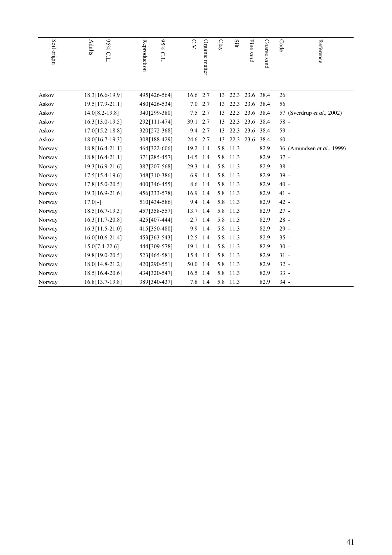| Soil origin | 95% C.L<br><b>Adults</b> | <b>95% C.L</b><br>Reproduction | C.V.     | Organic matter | Clay | Silt     | Fine sand | Coarse sand | Code   | Reference                  |
|-------------|--------------------------|--------------------------------|----------|----------------|------|----------|-----------|-------------|--------|----------------------------|
| Askov       | 18.3 [16.6-19.9]         | 495[426-564]                   | 16.6     | 2.7            | 13   | 22.3     | 23.6 38.4 |             | 26     |                            |
| Askov       | 19.5 [17.9-21.1]         | 480[426-534]                   | 7.0      | 2.7            | 13   | 22.3     | 23.6 38.4 |             | 56     |                            |
| Askov       | 14.0 [8.2-19.8]          | 340[299-380]                   | 7.5      | 2.7            | 13   | 22.3     | 23.6 38.4 |             |        | 57 (Sverdrup et al., 2002) |
| Askov       | $16.3[13.0-19.5]$        | 292[111-474]                   | 39.1     | 2.7            | 13   | 22.3     | 23.6      | 38.4        | $58 -$ |                            |
| Askov       | 17.0 [15.2-18.8]         | 320[272-368]                   | 9.4      | 2.7            | 13   | 22.3     | 23.6 38.4 |             | 59 -   |                            |
| Askov       | 18.0 [16.7-19.3]         | 308[188-429]                   | 24.6     | 2.7            | 13   | 22.3     | 23.6 38.4 |             | $60 -$ |                            |
| Norway      | 18.8 [16.4-21.1]         | 464 [322-606]                  | 19.2     | 1.4            | 5.8  | 11.3     |           | 82.9        |        | 36 (Amundsen et al., 1999) |
| Norway      | 18.8 [16.4-21.1]         | 371 [285-457]                  | 14.5     | 1.4            |      | 5.8 11.3 |           | 82.9        | $37 -$ |                            |
| Norway      | 19.3 [16.9-21.6]         | 387[207-568]                   | 29.3     | 1.4            |      | 5.8 11.3 |           | 82.9        | $38 -$ |                            |
| Norway      | $17.5$ [15.4-19.6]       | 348[310-386]                   | 6.9      | 1.4            | 5.8  | 11.3     |           | 82.9        | $39 -$ |                            |
| Norway      | 17.8 [15.0-20.5]         | 400[346-455]                   | 8.6      | 1.4            |      | 5.8 11.3 |           | 82.9        | $40 -$ |                            |
| Norway      | 19.3 [16.9-21.6]         | 456[333-578]                   | 16.9     | 1.4            |      | 5.8 11.3 |           | 82.9        | 41 -   |                            |
| Norway      | $17.0[-]$                | 510[434-586]                   | 9.4      | 1.4            | 5.8  | 11.3     |           | 82.9        | 42 -   |                            |
| Norway      | 18.5 [16.7-19.3]         | 457[358-557]                   | 13.7 1.4 |                |      | 5.8 11.3 |           | 82.9        | $27 -$ |                            |
| Norway      | 16.3[11.7-20.8]          | 425 [407-444]                  | 2.7      | 1.4            |      | 5.8 11.3 |           | 82.9        | $28 -$ |                            |
| Norway      | $16.3[11.5-21.0]$        | 415[350-480]                   | 9.9      | 1.4            |      | 5.8 11.3 |           | 82.9        | $29 -$ |                            |
| Norway      | $16.0[10.6-21.4]$        | 453[363-543]                   | 12.5     | 1.4            |      | 5.8 11.3 |           | 82.9        | $35 -$ |                            |
| Norway      | $15.0[7.4-22.6]$         | 444[309-578]                   | 19.1     | 1.4            |      | 5.8 11.3 |           | 82.9        | $30 -$ |                            |
| Norway      | 19.8 [19.0-20.5]         | 523[465-581]                   | 15.4     | 1.4            |      | 5.8 11.3 |           | 82.9        | $31 -$ |                            |
| Norway      | 18.0[14.8-21.2]          | 420[290-551]                   | 50.0     | 1.4            | 5.8  | 11.3     |           | 82.9        | $32 -$ |                            |
| Norway      | 18.5 [16.4-20.6]         | 434 [320-547]                  | 16.5     | 1.4            | 5.8  | 11.3     |           | 82.9        | $33 -$ |                            |
| Norway      | 16.8 [13.7-19.8]         | 389[340-437]                   |          | 7.8 1.4        |      | 5.8 11.3 |           | 82.9        | $34 -$ |                            |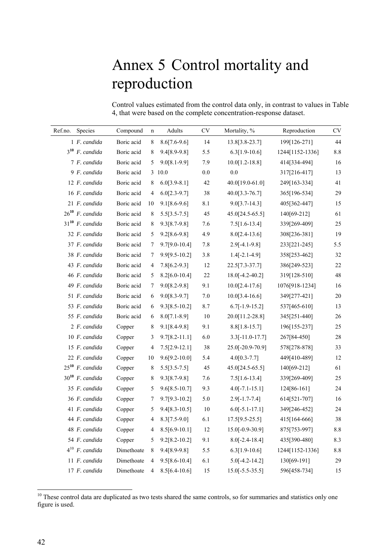# Annex 5 Control mortality and reproduction

Control values estimated from the control data only, in contrast to values in Table 4, that were based on the complete concentration-response dataset.

| Ref.no. | Species              | Compound   | $\mathbf n$    | Adults            | $\mathrm{CV}$ | Mortality, %        | Reproduction    | $\mathrm{CV}$ |
|---------|----------------------|------------|----------------|-------------------|---------------|---------------------|-----------------|---------------|
|         | 1 F. candida         | Boric acid | 8              | $8.6[7.6-9.6]$    | 14            | 13.8[3.8-23.7]      | 199[126-271]    | 44            |
|         | $3^{10}$ F. candida  | Boric acid | 8              | 9.4[8.9-9.8]      | 5.5           | $6.3[1.9-10.6]$     | 1244[1152-1336] | $8.8\,$       |
|         | 7 F. candida         | Boric acid | 5              | $9.0[8.1-9.9]$    | 7.9           | $10.0[1.2 - 18.8]$  | 414[334-494]    | 16            |
|         | 9 F. candida         | Boric acid |                | 3 10.0            | $0.0\,$       | $0.0\,$             | 317[216-417]    | 13            |
|         | 12 F. candida        | Boric acid | 8              | $6.0[3.9-8.1]$    | 42            | 40.0[19.0-61.0]     | 249[163-334]    | 41            |
|         | 16 F. candida        | Boric acid | $\overline{4}$ | $6.0[2.3-9.7]$    | 38            | $40.0[3.3-76.7]$    | 365[196-534]    | 29            |
|         | 21 F. candida        | Boric acid | 10             | $9.1[8.6 - 9.6]$  | 8.1           | $9.0[3.7-14.3]$     | 405[362-447]    | 15            |
|         | $26^{10}$ F. candida | Boric acid | 8              | $5.5[3.5-7.5]$    | 45            | 45.0[24.5-65.5]     | 140[69-212]     | 61            |
|         | $31^{10}$ F. candida | Boric acid | 8              | $9.3[8.7-9.8]$    | 7.6           | $7.5[1.6-13.4]$     | 339[269-409]    | 25            |
|         | 32 F. candida        | Boric acid | 5              | $9.2[8.6-9.8]$    | 4.9           | $8.0[2.4-13.6]$     | 308[236-381]    | 19            |
|         | 37 F. candida        | Boric acid | 7              | $9.7[9.0-10.4]$   | 7.8           | $2.9[-4.1-9.8]$     | 233[221-245]    | 5.5           |
|         | 38 F. candida        | Boric acid | 7              | $9.9[9.5-10.2]$   | 3.8           | $1.4[-2.1-4.9]$     | 358[253-462]    | 32            |
|         | 43 F. candida        | Boric acid | $\overline{4}$ | $7.8[6.2-9.3]$    | 12            | $22.5[7.3-37.7]$    | 386[249-523]    | 22            |
|         | 46 F. candida        | Boric acid | 5              | $8.2[6.0-10.4]$   | $22\,$        | $18.0[-4.2 - 40.2]$ | 319[128-510]    | $48\,$        |
|         | 49 F. candida        | Boric acid | 7              | $9.0[8.2 - 9.8]$  | 9.1           | $10.0[2.4-17.6]$    | 1076[918-1234]  | 16            |
|         | 51 F. candida        | Boric acid | 6              | $9.0[8.3-9.7]$    | $7.0\,$       | $10.0[3.4-16.6]$    | 349[277-421]    | $20\,$        |
|         | 53 F. candida        | Boric acid | 6              | $9.3[8.5-10.2]$   | 8.7           | $6.7[-1.9-15.2]$    | 537[465-610]    | 13            |
|         | 55 F. candida        | Boric acid | 6              | $8.0[7.1-8.9]$    | $10\,$        | 20.0[11.2-28.8]     | 345[251-440]    | $26\,$        |
|         | 2 F. candida         | Copper     | 8              | $9.1[8.4-9.8]$    | 9.1           | $8.8[1.8-15.7]$     | 196[155-237]    | 25            |
|         | 10 F. candida        | Copper     | 3              | $9.7[8.2 - 11.1]$ | 6.0           | $3.3[-11.0-17.7]$   | 267[84-450]     | $28\,$        |
|         | 15 F. candida        | Copper     | $\overline{4}$ | $7.5[2.9-12.1]$   | $38\,$        | 25.0[-20.9-70.9]    | 578[278-878]    | 33            |
|         | 22 F. candida        | Copper     | 10             | $9.6[9.2 - 10.0]$ | 5.4           | $4.0[0.3-7.7]$      | 449[410-489]    | 12            |
|         | $25^{10}$ F. candida | Copper     | $\,8\,$        | $5.5[3.5-7.5]$    | 45            | 45.0[24.5-65.5]     | 140[69-212]     | 61            |
|         | $30^{10}$ F. candida | Copper     | 8              | $9.3[8.7-9.8]$    | 7.6           | $7.5[1.6-13.4]$     | 339[269-409]    | 25            |
|         | 35 F. candida        | Copper     | 5              | $9.6[8.5-10.7]$   | 9.3           | $4.0[-7.1 - 15.1]$  | 124[86-161]     | 24            |
|         | 36 F. candida        | Copper     | $\overline{7}$ | $9.7[9.3-10.2]$   | $5.0\,$       | $2.9[-1.7 - 7.4]$   | 614[521-707]    | 16            |
|         | 41 F. candida        | Copper     | 5              | $9.4[8.3-10.5]$   | 10            | $6.0[-5.1-17.1]$    | 349[246-452]    | 24            |
|         | 44 F. candida        | Copper     | $\overline{4}$ | $8.3[7.5-9.0]$    | 6.1           | $17.5[9.5-25.5]$    | 415[164-666]    | 38            |
|         | 48 F. candida        | Copper     | 4              | $8.5[6.9-10.1]$   | 12            | 15.0[-0.9-30.9]     | 875[753-997]    | 8.8           |
|         | 54 F. candida        | Copper     | 5              | $9.2[8.2 - 10.2]$ | 9.1           | $8.0[-2.4 - 18.4]$  | 435[390-480]    | 8.3           |
|         | $4^{10}$ F. candida  | Dimethoate | 8              | 9.4[8.9-9.8]      | 5.5           | $6.3[1.9-10.6]$     | 1244[1152-1336] | $8.8\,$       |
|         | 11 F. candida        | Dimethoate | $\overline{4}$ | $9.5[8.6 - 10.4]$ | 6.1           | $5.0[-4.2 - 14.2]$  | 130[69-191]     | $29\,$        |
|         | 17 F. candida        | Dimethoate | 4              | $8.5[6.4-10.6]$   | 15            | $15.0[-5.5-35.5]$   | 596[458-734]    | 15            |

 These control data are duplicated as two tests shared the same controls, so for summaries and statistics only one figure is used.

l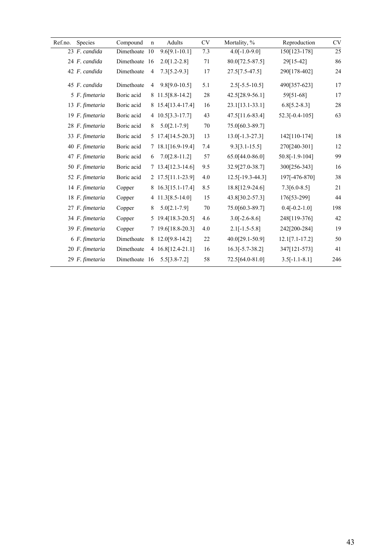| $\mathrm{CV}$   | Reproduction     | Mortality, %       | CV     | Adults              | $\mathbf n$    | Compound      | Species         | Ref.no. |
|-----------------|------------------|--------------------|--------|---------------------|----------------|---------------|-----------------|---------|
| $\overline{25}$ | 150[123-178]     | $4.0[-1.0-9.0]$    | 7.3    | $9.6[9.1-10.1]$     | -10            | Dimethoate    | 23 F. candida   |         |
| 86              | 29[15-42]        | 80.0[72.5-87.5]    | 71     | $2.0[1.2-2.8]$      |                | Dimethoate 16 | 24 F. candida   |         |
| 24              | 290[178-402]     | 27.5[7.5-47.5]     | 17     | $7.3[5.2-9.3]$      | $\overline{4}$ | Dimethoate    | 42 F. candida   |         |
| 17              | 490[357-623]     | $2.5[-5.5-10.5]$   | 5.1    | $9.8[9.0 - 10.5]$   | $\overline{4}$ | Dimethoate    | 45 F. candida   |         |
| 17              | 59[51-68]        | 42.5[28.9-56.1]    | $28\,$ | 8 11.5 [8.8-14.2]   |                | Boric acid    | 5 F. fimetaria  |         |
| $28\,$          | $6.8[5.2-8.3]$   | $23.1[13.1-33.1]$  | 16     | 8 15.4 [13.4-17.4]  |                | Boric acid    | 13 F. fimetaria |         |
| 63              | $52.3[-0.4-105]$ | 47.5[11.6-83.4]    | 43     | 4 10.5 [3.3-17.7]   |                | Boric acid    | 19 F. fimetaria |         |
|                 |                  | 75.0[60.3-89.7]    | 70     | $5.0[2.1-7.9]$      | 8              | Boric acid    | 28 F. fimetaria |         |
| $18\,$          | 142[110-174]     | $13.0[-1.3-27.3]$  | 13     | 5 17.4 [14.5-20.3]  |                | Boric acid    | 33 F. fimetaria |         |
| 12              | 270[240-301]     | $9.3[3.1 - 15.5]$  | 7.4    | 7 18.1 [16.9-19.4]  |                | Boric acid    | 40 F. fimetaria |         |
| 99              | $50.8[-1.9-104]$ | 65.0[44.0-86.0]    | 57     | $7.0[2.8-11.2]$     | 6              | Boric acid    | 47 F. fimetaria |         |
| 16              | 300[256-343]     | 32.9[27.0-38.7]    | 9.5    | 7 13.4 [12.3-14.6]  |                | Boric acid    | 50 F. fimetaria |         |
| 38              | 197[-476-870]    | $12.5[-19.3-44.3]$ | 4.0    | 2 17.5 [11.1-23.9]  |                | Boric acid    | 52 F. fimetaria |         |
| 21              | $7.3[6.0-8.5]$   | 18.8[12.9-24.6]    | 8.5    | 8 16.3 [15.1-17.4]  |                | Copper        | 14 F. fimetaria |         |
| 44              | 176[53-299]      | 43.8[30.2-57.3]    | 15     | 4 11.3 [8.5 - 14.0] |                | Copper        | 18 F. fimetaria |         |
| 198             | $0.4[-0.2-1.0]$  | 75.0[60.3-89.7]    | 70     | $5.0[2.1-7.9]$      | 8              | Copper        | 27 F. fimetaria |         |
| 42              | 248[119-376]     | $3.0[-2.6-8.6]$    | 4.6    | 5 19.4 [18.3-20.5]  |                | Copper        | 34 F. fimetaria |         |
| 19              | 242[200-284]     | $2.1[-1.5-5.8]$    | 4.0    | 7 19.6 [18.8-20.3]  |                | Copper        | 39 F. fimetaria |         |
| 50              | $12.1[7.1-17.2]$ | 40.0[29.1-50.9]    | 22     | 8 12.0 [9.8-14.2]   |                | Dimethoate    | 6 F. fimetaria  |         |
| 41              | 347[121-573]     | $16.3[-5.7-38.2]$  | 16     | 4 16.8[12.4-21.1]   |                | Dimethoate    | 20 F. fimetaria |         |
| 246             | $3.5[-1.1-8.1]$  | 72.5[64.0-81.0]    | 58     | $5.5[3.8 - 7.2]$    |                | Dimethoate 16 | 29 F. fimetaria |         |